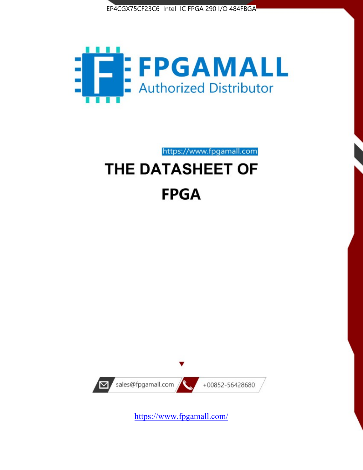



https://www.fpgamall.com

# THE DATASHEET OF **FPGA**



<https://www.fpgamall.com/>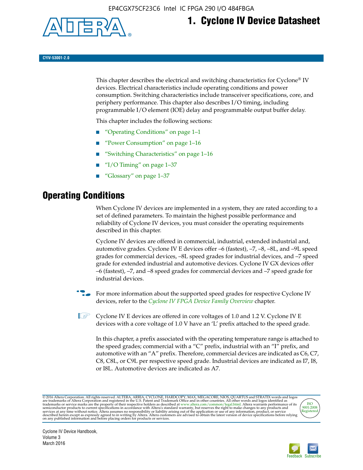

# **1. Cyclone IV Device Datasheet**

**CYIV-53001-2.0**

This chapter describes the electrical and switching characteristics for Cyclone<sup>®</sup> IV devices. Electrical characteristics include operating conditions and power consumption. Switching characteristics include transceiver specifications, core, and periphery performance. This chapter also describes I/O timing, including programmable I/O element (IOE) delay and programmable output buffer delay.

This chapter includes the following sections:

- "Operating Conditions" on page 1–1
- "Power Consumption" on page 1–16
- "Switching Characteristics" on page 1–16
- "I/O Timing" on page  $1-37$
- "Glossary" on page 1–37

## **Operating Conditions**

When Cyclone IV devices are implemented in a system, they are rated according to a set of defined parameters. To maintain the highest possible performance and reliability of Cyclone IV devices, you must consider the operating requirements described in this chapter.

Cyclone IV devices are offered in commercial, industrial, extended industrial and, automotive grades. Cyclone IV E devices offer –6 (fastest), –7, –8, –8L, and –9L speed grades for commercial devices, –8L speed grades for industrial devices, and –7 speed grade for extended industrial and automotive devices. Cyclone IV GX devices offer –6 (fastest), –7, and –8 speed grades for commercial devices and –7 speed grade for industrial devices.

**For more information about the supported speed grades for respective Cyclone IV** devices, refer to the *[Cyclone IV FPGA Device Family Overview](http://www.altera.com/literature/hb/cyclone-iv/cyiv-51001.pdf)* chapter.

 $\mathbb{I} \rightarrow \mathbb{C}$  Cyclone IV E devices are offered in core voltages of 1.0 and 1.2 V. Cyclone IV E devices with a core voltage of 1.0 V have an 'L' prefix attached to the speed grade.

In this chapter, a prefix associated with the operating temperature range is attached to the speed grades; commercial with a "C" prefix, industrial with an "I" prefix, and automotive with an "A" prefix. Therefore, commercial devices are indicated as C6, C7, C8, C8L, or C9L per respective speed grade. Industrial devices are indicated as I7, I8, or I8L. Automotive devices are indicated as A7.

@2016 Altera Corporation. All rights reserved. ALTERA, ARRIA, CYCLONE, HARDCOPY, MAX, MEGACORE, NIOS, QUARTUS and STRATIX words and logos are trademarks of Altera Corporation and registered in the U.S. Patent and Trademark



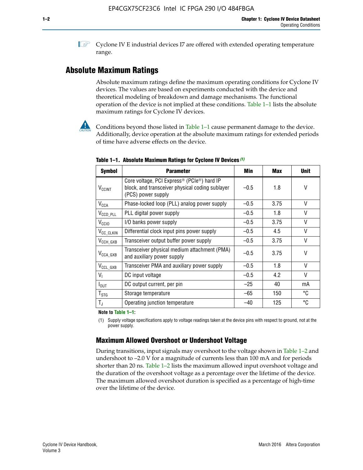**1 Cyclone IV E industrial devices I7 are offered with extended operating temperature** range.

### **Absolute Maximum Ratings**

Absolute maximum ratings define the maximum operating conditions for Cyclone IV devices. The values are based on experiments conducted with the device and theoretical modeling of breakdown and damage mechanisms. The functional operation of the device is not implied at these conditions. Table 1–1 lists the absolute maximum ratings for Cyclone IV devices.



Conditions beyond those listed in Table  $1-1$  cause permanent damage to the device. Additionally, device operation at the absolute maximum ratings for extended periods of time have adverse effects on the device.

| <b>Symbol</b>            | <b>Parameter</b>                                                                                                                             | Min    | <b>Max</b> | <b>Unit</b> |
|--------------------------|----------------------------------------------------------------------------------------------------------------------------------------------|--------|------------|-------------|
| <b>V<sub>CCINT</sub></b> | Core voltage, PCI Express <sup>®</sup> (PCIe <sup>®</sup> ) hard IP<br>block, and transceiver physical coding sublayer<br>(PCS) power supply | $-0.5$ | 1.8        | V           |
| $V_{CCA}$                | Phase-locked loop (PLL) analog power supply                                                                                                  | $-0.5$ | 3.75       | V           |
| $V_{CCD\_PLL}$           | PLL digital power supply                                                                                                                     | $-0.5$ | 1.8        | V           |
| V <sub>CCIO</sub>        | I/O banks power supply                                                                                                                       | $-0.5$ | 3.75       | V           |
| V <sub>CC_CLKIN</sub>    | Differential clock input pins power supply                                                                                                   | $-0.5$ | 4.5        | V           |
| $V_{\text{CCH_GXB}}$     | Transceiver output buffer power supply                                                                                                       | $-0.5$ | 3.75       | V           |
| $V_{\text{CCA\_GXB}}$    | Transceiver physical medium attachment (PMA)<br>and auxiliary power supply                                                                   | $-0.5$ | 3.75       | V           |
| $V_{CCL_GXB}$            | Transceiver PMA and auxiliary power supply                                                                                                   | $-0.5$ | 1.8        | V           |
| $V_{1}$                  | DC input voltage                                                                                                                             | $-0.5$ | 4.2        | V           |
| $I_{\text{OUT}}$         | DC output current, per pin                                                                                                                   | $-25$  | 40         | mA          |
| $T_{\mathtt{STG}}$       | Storage temperature                                                                                                                          | -65    | 150        | °C          |
| $T_{\rm J}$              | Operating junction temperature                                                                                                               | $-40$  | 125        | °C          |

**Table 1–1. Absolute Maximum Ratings for Cyclone IV Devices** *(1)*

**Note to Table 1–1:**

(1) Supply voltage specifications apply to voltage readings taken at the device pins with respect to ground, not at the power supply.

### **Maximum Allowed Overshoot or Undershoot Voltage**

During transitions, input signals may overshoot to the voltage shown in Table 1–2 and undershoot to –2.0 V for a magnitude of currents less than 100 mA and for periods shorter than 20 ns. Table 1–2 lists the maximum allowed input overshoot voltage and the duration of the overshoot voltage as a percentage over the lifetime of the device. The maximum allowed overshoot duration is specified as a percentage of high-time over the lifetime of the device.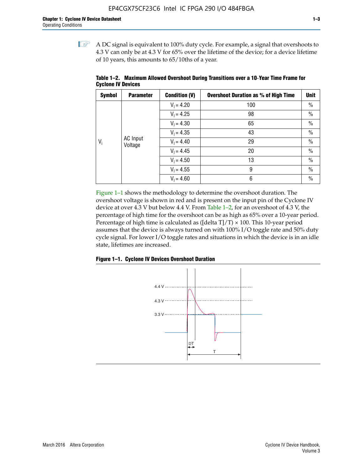$\mathbb{I}$  A DC signal is equivalent to 100% duty cycle. For example, a signal that overshoots to 4.3 V can only be at 4.3 V for 65% over the lifetime of the device; for a device lifetime of 10 years, this amounts to 65/10ths of a year.

| <b>Symbol</b> | <b>Parameter</b>    | <b>Condition (V)</b> | <b>Overshoot Duration as % of High Time</b> | Unit         |    |      |              |
|---------------|---------------------|----------------------|---------------------------------------------|--------------|----|------|--------------|
|               |                     | $V_1 = 4.20$         | 100                                         | $\%$         |    |      |              |
|               | AC Input<br>Voltage | $V_1 = 4.25$         | 98                                          | $\%$         |    |      |              |
|               |                     |                      |                                             | $V_1 = 4.30$ | 65 | $\%$ |              |
| $V_i$         |                     | $V_1 = 4.35$         | 43                                          | $\%$         |    |      |              |
|               |                     |                      |                                             |              |    |      | $V_1 = 4.40$ |
|               |                     | $V_1 = 4.45$         | 20                                          | $\%$         |    |      |              |
|               |                     | $V_1 = 4.50$         | 13                                          | $\%$         |    |      |              |
|               |                     | $V_1 = 4.55$         | 9                                           | $\%$         |    |      |              |
|               |                     | $V_1 = 4.60$         | 6                                           | $\%$         |    |      |              |

**Table 1–2. Maximum Allowed Overshoot During Transitions over a 10**-**Year Time Frame for Cyclone IV Devices**

Figure 1–1 shows the methodology to determine the overshoot duration. The overshoot voltage is shown in red and is present on the input pin of the Cyclone IV device at over 4.3 V but below 4.4 V. From Table 1–2, for an overshoot of 4.3 V, the percentage of high time for the overshoot can be as high as 65% over a 10-year period. Percentage of high time is calculated as ([delta  $T$ ]/T)  $\times$  100. This 10-year period assumes that the device is always turned on with 100% I/O toggle rate and 50% duty cycle signal. For lower I/O toggle rates and situations in which the device is in an idle state, lifetimes are increased.



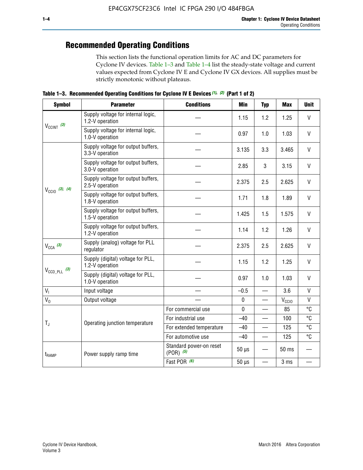# **Recommended Operating Conditions**

This section lists the functional operation limits for AC and DC parameters for Cyclone IV devices. Table 1–3 and Table 1–4 list the steady-state voltage and current values expected from Cyclone IV E and Cyclone IV GX devices. All supplies must be strictly monotonic without plateaus.

**Table 1–3. Recommended Operating Conditions for Cyclone IV E Devices** *(1)***,** *(2)* **(Part 1 of 2)**

| <b>Symbol</b>                                                                            | <b>Parameter</b>                                      | <b>Conditions</b>                        | <b>Min</b>  | <b>Typ</b>               | <b>Max</b>     | <b>Unit</b>  |
|------------------------------------------------------------------------------------------|-------------------------------------------------------|------------------------------------------|-------------|--------------------------|----------------|--------------|
|                                                                                          | Supply voltage for internal logic,<br>1.2-V operation |                                          | 1.15        | 1.2                      | 1.25           | $\mathsf{V}$ |
| $V_{CClNT}$ (3)                                                                          | Supply voltage for internal logic,<br>1.0-V operation |                                          | 0.97        | 1.0                      | 1.03           | $\mathsf{V}$ |
|                                                                                          | Supply voltage for output buffers,<br>3.3-V operation |                                          | 3.135       | 3.3                      | 3.465          | $\vee$       |
| $V_{\text{CC10}}$ (3), (4)                                                               | Supply voltage for output buffers,<br>3.0-V operation |                                          | 2.85        | 3                        | 3.15           | V            |
|                                                                                          | Supply voltage for output buffers,<br>2.5-V operation |                                          | 2.375       | 2.5                      | 2.625          | $\vee$       |
|                                                                                          | Supply voltage for output buffers,<br>1.8-V operation |                                          | 1.71        | 1.8                      | 1.89           | V            |
|                                                                                          | Supply voltage for output buffers,<br>1.5-V operation |                                          | 1.425       | 1.5                      | 1.575          | $\vee$       |
|                                                                                          | Supply voltage for output buffers,<br>1.2-V operation |                                          | 1.14        | 1.2                      | 1.26           | $\mathsf{V}$ |
| $V_{CCA}$ (3)                                                                            | Supply (analog) voltage for PLL<br>regulator          |                                          | 2.375       | 2.5                      | 2.625          | $\vee$       |
|                                                                                          | Supply (digital) voltage for PLL,<br>1.2-V operation  |                                          | 1.15        | 1.2                      | 1.25           | V            |
| $V_{\text{CCD\_PLL}}$ (3)<br>V <sub>1</sub><br>$V_0$<br>$T_{\rm J}$<br>t <sub>RAMP</sub> | Supply (digital) voltage for PLL,<br>1.0-V operation  |                                          | 0.97        | 1.0                      | 1.03           | $\vee$       |
|                                                                                          | Input voltage                                         |                                          | $-0.5$      | $\overline{\phantom{0}}$ | 3.6            | $\mathsf{V}$ |
|                                                                                          | Output voltage                                        |                                          | $\pmb{0}$   | —                        | $V_{\rm CClO}$ | $\mathsf{V}$ |
|                                                                                          |                                                       | For commercial use                       | $\mathbf 0$ |                          | 85             | °C           |
|                                                                                          | Operating junction temperature                        | For industrial use                       | $-40$       |                          | 100            | °C           |
|                                                                                          |                                                       | For extended temperature                 | $-40$       |                          | 125            | °C           |
|                                                                                          |                                                       | For automotive use                       | $-40$       | $\qquad \qquad$          | 125            | °C           |
|                                                                                          | Power supply ramp time                                | Standard power-on reset<br>$(POR)$ $(5)$ | $50 \mu s$  |                          | 50 ms          |              |
|                                                                                          |                                                       | Fast POR (6)                             | $50 \mu s$  | $\overline{\phantom{0}}$ | 3 ms           |              |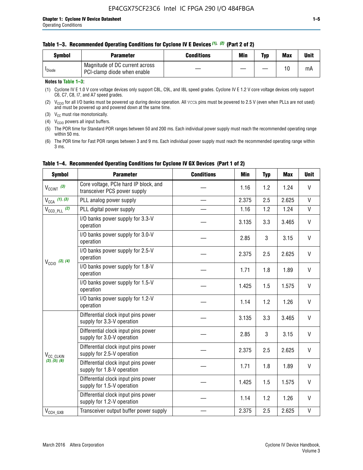#### **Table 1–3. Recommended Operating Conditions for Cyclone IV E Devices** *(1)***,** *(2)* **(Part 2 of 2)**

| <b>Symbol</b>      | <b>Parameter</b>                                              | <b>Conditions</b> | Min | Typ | <b>Max</b> | Unit |
|--------------------|---------------------------------------------------------------|-------------------|-----|-----|------------|------|
| <sup>I</sup> Diode | Magnitude of DC current across<br>PCI-clamp diode when enable |                   |     |     | 10         | mA   |

#### **Notes to Table 1–3:**

(1) Cyclone IV E 1.0 V core voltage devices only support C8L, C9L, and I8L speed grades. Cyclone IV E 1.2 V core voltage devices only support C6, C7, C8, I7, and A7 speed grades.

(2)  $V_{CCIO}$  for all I/O banks must be powered up during device operation. All vcca pins must be powered to 2.5 V (even when PLLs are not used) and must be powered up and powered down at the same time.

(3)  $V_{CC}$  must rise monotonically.

(4)  $V_{\text{CCIO}}$  powers all input buffers.

(5) The POR time for Standard POR ranges between 50 and 200 ms. Each individual power supply must reach the recommended operating range within 50 ms.

(6) The POR time for Fast POR ranges between 3 and 9 ms. Each individual power supply must reach the recommended operating range within 3 ms.

| <b>Symbol</b>                                                                                                                                                                                                                                                                                                                                                                                                                                                                                                                   | <b>Parameter</b>                                                      | <b>Conditions</b> | Min   | <b>Typ</b> | <b>Max</b>   | <b>Unit</b>  |
|---------------------------------------------------------------------------------------------------------------------------------------------------------------------------------------------------------------------------------------------------------------------------------------------------------------------------------------------------------------------------------------------------------------------------------------------------------------------------------------------------------------------------------|-----------------------------------------------------------------------|-------------------|-------|------------|--------------|--------------|
| $V_{\text{CCINT}}$ (3)                                                                                                                                                                                                                                                                                                                                                                                                                                                                                                          | Core voltage, PCIe hard IP block, and<br>transceiver PCS power supply |                   | 1.16  | 1.2        | 1.24         | V            |
| $V_{CCA}$ (1), (3)                                                                                                                                                                                                                                                                                                                                                                                                                                                                                                              | PLL analog power supply                                               |                   | 2.375 | 2.5        | 2.625        | V            |
| $V_{\text{CCD\_PLL}}$ (2)                                                                                                                                                                                                                                                                                                                                                                                                                                                                                                       | PLL digital power supply                                              |                   | 1.16  | 1.2        | 1.24         | $\mathsf{V}$ |
| $V_{\text{CC}10}$ (3), (4)                                                                                                                                                                                                                                                                                                                                                                                                                                                                                                      | I/O banks power supply for 3.3-V<br>operation                         |                   | 3.135 | 3.3        | 3.465        | V            |
|                                                                                                                                                                                                                                                                                                                                                                                                                                                                                                                                 | I/O banks power supply for 3.0-V<br>operation                         |                   | 2.85  | 3          | 3.15         | $\mathsf{V}$ |
|                                                                                                                                                                                                                                                                                                                                                                                                                                                                                                                                 | I/O banks power supply for 2.5-V<br>operation                         |                   | 2.375 | 2.5        | 2.625        | V            |
|                                                                                                                                                                                                                                                                                                                                                                                                                                                                                                                                 | I/O banks power supply for 1.8-V<br>operation                         |                   | 1.71  | 1.8        | 1.89         | $\mathsf{V}$ |
|                                                                                                                                                                                                                                                                                                                                                                                                                                                                                                                                 | I/O banks power supply for 1.5-V<br>operation                         |                   | 1.425 | 1.5        | 1.575        | V            |
|                                                                                                                                                                                                                                                                                                                                                                                                                                                                                                                                 | I/O banks power supply for 1.2-V<br>operation                         |                   | 1.14  | 1.2        | 1.26         | V            |
| Differential clock input pins power<br>supply for 3.3-V operation<br>Differential clock input pins power<br>supply for 3.0-V operation<br>Differential clock input pins power<br>supply for 2.5-V operation<br>V <sub>CC_CLKIN</sub><br>(3), (5), (6)<br>Differential clock input pins power<br>supply for 1.8-V operation<br>Differential clock input pins power<br>supply for 1.5-V operation<br>Differential clock input pins power<br>supply for 1.2-V operation<br>Transceiver output buffer power supply<br>$V_{CCH_GXB}$ |                                                                       |                   | 3.135 | 3.3        | 3.465        | V            |
|                                                                                                                                                                                                                                                                                                                                                                                                                                                                                                                                 |                                                                       | 2.85              | 3     | 3.15       | $\mathsf{V}$ |              |
|                                                                                                                                                                                                                                                                                                                                                                                                                                                                                                                                 |                                                                       |                   | 2.375 | 2.5        | 2.625        | V            |
|                                                                                                                                                                                                                                                                                                                                                                                                                                                                                                                                 |                                                                       |                   | 1.71  | 1.8        | 1.89         | V            |
|                                                                                                                                                                                                                                                                                                                                                                                                                                                                                                                                 |                                                                       |                   | 1.425 | 1.5        | 1.575        | V            |
|                                                                                                                                                                                                                                                                                                                                                                                                                                                                                                                                 |                                                                       |                   | 1.14  | 1.2        | 1.26         | $\vee$       |
|                                                                                                                                                                                                                                                                                                                                                                                                                                                                                                                                 |                                                                       |                   | 2.375 | 2.5        | 2.625        | V            |

#### **Table 1–4. Recommended Operating Conditions for Cyclone IV GX Devices (Part 1 of 2)**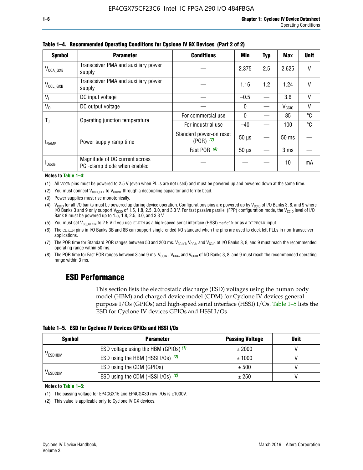| <b>Symbol</b>         | <b>Parameter</b>                                               | <b>Conditions</b>                        | Min          | Typ | Max               | <b>Unit</b> |
|-----------------------|----------------------------------------------------------------|------------------------------------------|--------------|-----|-------------------|-------------|
| $V_{\text{CCA\_GXB}}$ | Transceiver PMA and auxiliary power<br>supply                  |                                          | 2.375        | 2.5 | 2.625             | $\vee$      |
| $V_{CCL_GXB}$         | Transceiver PMA and auxiliary power<br>supply                  |                                          | 1.16         | 1.2 | 1.24              | V           |
| $V_{1}$               | DC input voltage                                               |                                          | $-0.5$       |     | 3.6               | V           |
| $V_0$                 | DC output voltage                                              |                                          | $\mathbf{0}$ |     | V <sub>CCIO</sub> | ٧           |
|                       | Operating junction temperature                                 | For commercial use                       | $\mathbf{0}$ |     | 85                | °C          |
| T,                    |                                                                | For industrial use                       | $-40$        |     | 100               | °C          |
| $t_{\rm{RAMP}}$       | Power supply ramp time                                         | Standard power-on reset<br>$(POR)$ $(7)$ | $50 \mu s$   |     | $50$ ms           |             |
|                       |                                                                | Fast POR $(8)$                           | $50 \mu s$   |     | 3 <sub>ms</sub>   |             |
| <b>I</b> Diode        | Magnitude of DC current across<br>PCI-clamp diode when enabled |                                          |              |     | 10                | mA          |

**Table 1–4. Recommended Operating Conditions for Cyclone IV GX Devices (Part 2 of 2)**

#### **Notes to Table 1–4:**

- (1) All VCCA pins must be powered to 2.5 V (even when PLLs are not used) and must be powered up and powered down at the same time.
- (2) You must connect  $V_{CCD-PLL}$  to  $V_{CCINT}$  through a decoupling capacitor and ferrite bead.
- (3) Power supplies must rise monotonically.
- (4)  $V_{\text{CCIO}}$  for all I/O banks must be powered up during device operation. Configurations pins are powered up by V<sub>CCIO</sub> of I/O Banks 3, 8, and 9 where I/O Banks 3 and 9 only support V<sub>CCIO</sub> of 1.5, 1.8, 2.5, 3.0, and 3.3 V. For fast passive parallel (FPP) configuration mode, the V<sub>CCIO</sub> level of I/O<br>Bank 8 must be powered up to 1.5, 1.8, 2.5, 3.0, and 3.3 V.
- (5) You must set  $V_{CC_CCLKIN}$  to 2.5 V if you use CLKIN as a high-speed serial interface (HSSI) refclk or as a DIFFCLK input.
- (6) The CLKIN pins in I/O Banks 3B and 8B can support single-ended I/O standard when the pins are used to clock left PLLs in non-transceiver applications.
- (7) The POR time for Standard POR ranges between 50 and 200 ms.  $V_{\text{CCIA}}$ ,  $V_{\text{CCIA}}$ , and  $V_{\text{CCIO}}$  of I/O Banks 3, 8, and 9 must reach the recommended operating range within 50 ms.
- (8) The POR time for Fast POR ranges between 3 and 9 ms.  $V_{\text{CCH},T}$ ,  $V_{\text{CCA}}$ , and  $V_{\text{CCI}}$  of I/O Banks 3, 8, and 9 must reach the recommended operating range within 3 ms.

### **ESD Performance**

This section lists the electrostatic discharge (ESD) voltages using the human body model (HBM) and charged device model (CDM) for Cyclone IV devices general purpose I/Os (GPIOs) and high-speed serial interface (HSSI) I/Os. Table 1–5 lists the ESD for Cyclone IV devices GPIOs and HSSI I/Os.

|  | Table 1–5. ESD for Cyclone IV Devices GPIOs and HSSI I/Os |  |
|--|-----------------------------------------------------------|--|
|--|-----------------------------------------------------------|--|

| <b>Symbol</b>  | <b>Parameter</b>                      | <b>Passing Voltage</b> | <b>Unit</b> |
|----------------|---------------------------------------|------------------------|-------------|
|                | ESD voltage using the HBM (GPIOs) (1) | ± 2000                 |             |
| <b>VESDHBM</b> | ESD using the HBM (HSSI I/Os) (2)     | ± 1000                 |             |
|                | ESD using the CDM (GPIOs)             | ± 500                  |             |
| <b>VESDCDM</b> | ESD using the CDM (HSSI I/Os) (2)     | ± 250                  |             |

#### **Notes to Table 1–5:**

(1) The passing voltage for EP4CGX15 and EP4CGX30 row I/Os is ±1000V.

(2) This value is applicable only to Cyclone IV GX devices.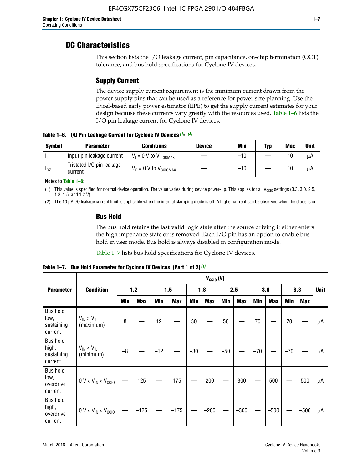### **DC Characteristics**

This section lists the I/O leakage current, pin capacitance, on-chip termination (OCT) tolerance, and bus hold specifications for Cyclone IV devices.

### **Supply Current**

The device supply current requirement is the minimum current drawn from the power supply pins that can be used as a reference for power size planning. Use the Excel-based early power estimator (EPE) to get the supply current estimates for your design because these currents vary greatly with the resources used. Table 1–6 lists the I/O pin leakage current for Cyclone IV devices.

**Table 1–6. I/O Pin Leakage Current for Cyclone IV Devices** *(1)***,** *(2)*

| <b>Symbol</b> | <b>Parameter</b>                     | <b>Conditions</b>                     | <b>Device</b> | Min   | Typ | <b>Max</b> | <b>Unit</b> |
|---------------|--------------------------------------|---------------------------------------|---------------|-------|-----|------------|-------------|
| -lı           | Input pin leakage current            | $V_1 = 0$ V to $V_{\text{CCIOMAX}}$   |               | $-10$ |     | 10         | μA          |
| $I_{0Z}$      | Tristated I/O pin leakage<br>current | $V_0 = 0 V$ to $V_{\text{CCIOMAX}}$ I |               | $-10$ |     | 10         | μA          |

**Notes to Table 1–6:**

(1) This value is specified for normal device operation. The value varies during device power-up. This applies for all V<sub>CCIO</sub> settings (3.3, 3.0, 2.5, 1.8, 1.5, and 1.2 V).

(2) The 10 µA I/O leakage current limit is applicable when the internal clamping diode is off. A higher current can be observed when the diode is on.

### **Bus Hold**

The bus hold retains the last valid logic state after the source driving it either enters the high impedance state or is removed. Each I/O pin has an option to enable bus hold in user mode. Bus hold is always disabled in configuration mode.

Table 1–7 lists bus hold specifications for Cyclone IV devices.

|                                                   |                                  | $V_{CClO}$ (V) |            |       |            |            |            |            |            |       |            |       |            |             |
|---------------------------------------------------|----------------------------------|----------------|------------|-------|------------|------------|------------|------------|------------|-------|------------|-------|------------|-------------|
| <b>Parameter</b>                                  | <b>Condition</b>                 |                | $1.2$      |       | 1.5        |            | 1.8        |            | 2.5        |       | 3.0        |       | 3.3        | <b>Unit</b> |
|                                                   |                                  | <b>Min</b>     | <b>Max</b> | Min   | <b>Max</b> | <b>Min</b> | <b>Max</b> | <b>Min</b> | <b>Max</b> | Min   | <b>Max</b> | Min   | <b>Max</b> |             |
| <b>Bus hold</b><br>low,<br>sustaining<br>current  | $V_{IN}$ > $V_{IL}$<br>(maximum) | 8              |            | 12    |            | $30\,$     |            | 50         |            | 70    |            | 70    |            | μA          |
| <b>Bus hold</b><br>high,<br>sustaining<br>current | $V_{IN}$ < $V_{IL}$<br>(minimum) | $-8$           |            | $-12$ |            | $-30$      |            | $-50$      |            | $-70$ |            | $-70$ |            | μA          |
| <b>Bus hold</b><br>low,<br>overdrive<br>current   | $0 V < V_{IN} < V_{CG10}$        |                | 125        |       | 175        |            | 200        |            | 300        |       | 500        |       | 500        | μA          |
| <b>Bus hold</b><br>high,<br>overdrive<br>current  | $0 V < V_{IN} < V_{CG10}$        |                | $-125$     |       | $-175$     |            | $-200$     |            | $-300$     |       | $-500$     |       | $-500$     | μA          |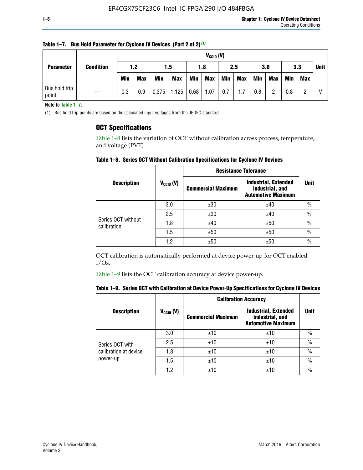| <b>Parameter</b>       |                  |            | $V_{CClO}$ (V) |            |                        |     |            |            |     |     |            |             |     |  |
|------------------------|------------------|------------|----------------|------------|------------------------|-----|------------|------------|-----|-----|------------|-------------|-----|--|
|                        | <b>Condition</b> | 1.2<br>1.5 |                |            | 1.8                    | 2.5 |            | 3.0        |     | 3.3 |            | <b>Unit</b> |     |  |
|                        |                  | <b>Min</b> | <b>Max</b>     | <b>Min</b> | <b>Max</b>             | Min | <b>Max</b> | <b>Min</b> | Max | Min | <b>Max</b> | <b>Min</b>  | Max |  |
| Bus hold trip<br>point |                  | 0.3        | 0.9            |            | $0.375$   1.125   0.68 |     | 1.07       | 0.7        | 1.7 | 0.8 | n          | 0.8         |     |  |

**Table 1–7. Bus Hold Parameter for Cyclone IV Devices (Part 2 of 2)** *(1)*

**Note to Table 1–7:**

(1) Bus hold trip points are based on the calculated input voltages from the JEDEC standard.

### **OCT Specifications**

Table 1–8 lists the variation of OCT without calibration across process, temperature, and voltage (PVT).

**Table 1–8. Series OCT Without Calibration Specifications for Cyclone IV Devices**

|                                   |                       | <b>Resistance Tolerance</b> |                                                                             |               |
|-----------------------------------|-----------------------|-----------------------------|-----------------------------------------------------------------------------|---------------|
| <b>Description</b>                | $V_{\text{CCIO}}$ (V) | <b>Commercial Maximum</b>   | <b>Industrial, Extended</b><br>industrial, and<br><b>Automotive Maximum</b> | <b>Unit</b>   |
|                                   | 3.0                   | ±30                         | ±40                                                                         | $\frac{0}{0}$ |
|                                   | 2.5                   | ±30                         | ±40                                                                         | $\frac{0}{0}$ |
| Series OCT without<br>calibration | 1.8                   | ±40                         | ±50                                                                         | $\frac{0}{0}$ |
|                                   | 1.5                   | ±50                         | ±50                                                                         | $\frac{0}{0}$ |
|                                   | 1.2                   | ±50                         | ±50                                                                         | $\frac{0}{0}$ |

OCT calibration is automatically performed at device power-up for OCT-enabled I/Os.

Table 1–9 lists the OCT calibration accuracy at device power-up.

|  | Table 1–9.  Series OCT with Calibration at Device Power-Up Specifications for Cyclone IV Devices |  |  |  |
|--|--------------------------------------------------------------------------------------------------|--|--|--|
|--|--------------------------------------------------------------------------------------------------|--|--|--|

|                                   |                | <b>Calibration Accuracy</b> |                                                                             |               |
|-----------------------------------|----------------|-----------------------------|-----------------------------------------------------------------------------|---------------|
| <b>Description</b>                | $V_{CGI0} (V)$ | <b>Commercial Maximum</b>   | <b>Industrial, Extended</b><br>industrial, and<br><b>Automotive Maximum</b> | Unit          |
|                                   | 3.0            | ±10                         | ±10                                                                         | $\%$          |
| Series OCT with                   | 2.5            | ±10                         | ±10                                                                         | $\frac{0}{0}$ |
| calibration at device<br>power-up | 1.8            | ±10                         | ±10                                                                         | $\frac{0}{0}$ |
|                                   | 1.5            | ±10                         | ±10                                                                         | $\frac{0}{0}$ |
|                                   | 1.2            | ±10                         | ±10                                                                         | $\frac{0}{0}$ |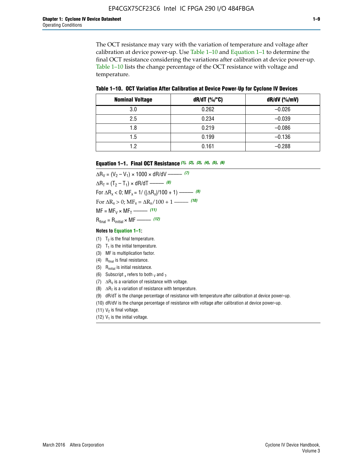The OCT resistance may vary with the variation of temperature and voltage after calibration at device power-up. Use Table 1–10 and Equation 1–1 to determine the final OCT resistance considering the variations after calibration at device power-up. Table 1–10 lists the change percentage of the OCT resistance with voltage and temperature.

**Table 1–10. OCT Variation After Calibration at Device Power**-**Up for Cyclone IV Devices**

| <b>Nominal Voltage</b> | dR/dT (%/°C) | $dR/dV$ (%/mV) |
|------------------------|--------------|----------------|
| 3.0                    | 0.262        | $-0.026$       |
| 2.5                    | 0.234        | $-0.039$       |
| 1.8                    | 0.219        | $-0.086$       |
| 1.5                    | 0.199        | $-0.136$       |
| 1.2                    | 0.161        | $-0.288$       |

#### **Equation 1–1. Final OCT Resistance** *(1)***,** *(2)***,** *(3)***,** *(4)***,** *(5)***,** *(6)*

 $\Delta R_V = (V_2 - V_1) \times 1000 \times dR/dV$  ––––––––––––(7)  $\Delta R_T = (T_2 - T_1) \times dR/dT$  ––––––– (8) For  $\Delta R_x < 0$ ; MF<sub>x</sub> = 1/ ( $|\Delta R_x|/100 + 1$ ) –––––– (9) For  $\Delta R_x > 0$ ;  $\text{MF}_x = \Delta R_x / 100 + 1$  ——– (10)  $MF = MF_V \times MF_T$  –––––––––––(11) Rfinal = Rinitial × MF ––––– *(12)*

#### **Notes to Equation 1–1:**

- (1)  $T_2$  is the final temperature.
- (2)  $T_1$  is the initial temperature.
- (3) MF is multiplication factor.
- (4)  $R<sub>final</sub>$  is final resistance.
- (5) Rinitial is initial resistance.
- (6) Subscript x refers to both  $\sqrt{v}$  and  $\sqrt{v}$ .
- (7)  $\Delta R_V$  is a variation of resistance with voltage.
- (8)  $\Delta R_T$  is a variation of resistance with temperature.
- (9) dR/dT is the change percentage of resistance with temperature after calibration at device power-up.
- (10) dR/dV is the change percentage of resistance with voltage after calibration at device power-up.
- (11)  $V_2$  is final voltage.
- (12)  $V_1$  is the initial voltage.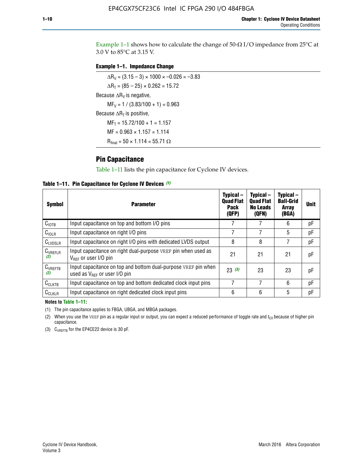Example 1-1 shows how to calculate the change of  $50$ - $\Omega$  I/O impedance from 25°C at 3.0 V to 85°C at 3.15 V.

#### **Example 1–1. Impedance Change**

 $\Delta R_V = (3.15 - 3) \times 1000 \times -0.026 = -3.83$  $\Delta R_T = (85 - 25) \times 0.262 = 15.72$ Because  $\Delta R_V$  is negative,  $MF_V = 1 / (3.83/100 + 1) = 0.963$ Because  $\Delta R_T$  is positive,  $MF_T = 15.72/100 + 1 = 1.157$  $MF = 0.963 \times 1.157 = 1.114$  $R_{final} = 50 \times 1.114 = 55.71 \Omega$ 

### **Pin Capacitance**

Table 1–11 lists the pin capacitance for Cyclone IV devices.

**Table 1–11. Pin Capacitance for Cyclone IV Devices** *(1)*

| <b>Symbol</b>       | <b>Parameter</b>                                                                                    | Typical-<br><b>Quad Flat</b><br><b>Pack</b><br>(QFP) | Typical-<br><b>Quad Flat</b><br><b>No Leads</b><br>(QFN) | Typical-<br><b>Ball-Grid</b><br><b>Array</b><br>(BGA) | <b>Unit</b> |
|---------------------|-----------------------------------------------------------------------------------------------------|------------------------------------------------------|----------------------------------------------------------|-------------------------------------------------------|-------------|
| C <sub>IOTB</sub>   | Input capacitance on top and bottom I/O pins                                                        |                                                      |                                                          | 6                                                     | рF          |
| $C_{IOLR}$          | Input capacitance on right I/O pins                                                                 |                                                      |                                                          | 5                                                     | pF          |
| $C_{LVDSLR}$        | Input capacitance on right I/O pins with dedicated LVDS output                                      | 8                                                    | 8                                                        | 7                                                     | рF          |
| $C_{VREFLR}$<br>(2) | Input capacitance on right dual-purpose VREF pin when used as<br>$V_{BFF}$ or user I/O pin          | 21                                                   | 21                                                       | 21                                                    | pF          |
| $C_{VREFTB}$<br>(2) | Input capacitance on top and bottom dual-purpose VREF pin when<br>used as $V_{BFF}$ or user I/O pin | 23(3)                                                | 23                                                       | 23                                                    | рF          |
| $C_{CLKTB}$         | Input capacitance on top and bottom dedicated clock input pins                                      |                                                      | 7                                                        | 6                                                     | рF          |
| $C_{CLKLR}$         | Input capacitance on right dedicated clock input pins                                               | 6                                                    | 6                                                        | 5                                                     | рF          |

#### **Notes to Table 1–11:**

(1) The pin capacitance applies to FBGA, UBGA, and MBGA packages.

(2) When you use the VREF pin as a regular input or output, you can expect a reduced performance of toggle rate and  $t_{\rm CO}$  because of higher pin capacitance.

(3) CVREFTB for the EP4CE22 device is 30 pF.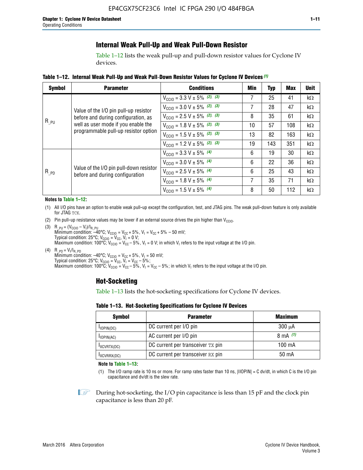### **Internal Weak Pull-Up and Weak Pull-Down Resistor**

Table 1–12 lists the weak pull-up and pull-down resistor values for Cyclone IV devices.

**Table 1–12. Internal Weak Pull**-**Up and Weak Pull**-**Down Resistor Values for Cyclone IV Devices** *(1)*

| <b>Symbol</b> | <b>Parameter</b>                                                            | <b>Conditions</b>                                  | Min | Typ | <b>Max</b> | <b>Unit</b> |
|---------------|-----------------------------------------------------------------------------|----------------------------------------------------|-----|-----|------------|-------------|
|               |                                                                             | $V_{\text{CC10}} = 3.3 \text{ V} \pm 5\%$ (2), (3) |     | 25  | 41         | kΩ          |
|               | Value of the I/O pin pull-up resistor                                       | $V_{\text{CC10}} = 3.0 \text{ V} \pm 5\%$ (2), (3) | 7   | 28  | 47         | $k\Omega$   |
|               | before and during configuration, as                                         | $V_{\text{CC10}} = 2.5 V \pm 5\%$ (2), (3)         | 8   | 35  | 61         | kΩ          |
| $R_{PU}$      | well as user mode if you enable the<br>programmable pull-up resistor option | $V_{\text{CC10}} = 1.8 V \pm 5\%$ (2), (3)         | 10  | 57  | 108        | kΩ          |
|               |                                                                             | $V_{\text{CC10}} = 1.5 V \pm 5\%$ (2), (3)         | 13  | 82  | 163        | kΩ          |
|               |                                                                             | $V_{\text{CC10}} = 1.2 \text{ V} \pm 5\%$ (2), (3) | 19  | 143 | 351        | kΩ          |
|               |                                                                             | $V_{\text{CC10}} = 3.3 V \pm 5\%$ (4)              | 6   | 19  | 30         | kΩ          |
|               |                                                                             | $V_{\text{CC10}} = 3.0 V \pm 5\%$ (4)              | 6   | 22  | 36         | kΩ          |
| $R_{PD}$      | Value of the I/O pin pull-down resistor<br>before and during configuration  | $V_{\text{CC10}} = 2.5 V \pm 5\%$ (4)              | 6   | 25  | 43         | kΩ          |
|               |                                                                             | $V_{\text{CC10}} = 1.8 \text{ V} \pm 5\%$ (4)      | 7   | 35  | 71         | kΩ          |
|               |                                                                             | $V_{\text{CC10}} = 1.5 V \pm 5\%$ (4)              | 8   | 50  | 112        | kΩ          |

#### **Notes to Table 1–12:**

- (1) All I/O pins have an option to enable weak pull-up except the configuration, test, and JTAG pins. The weak pull-down feature is only available for JTAG TCK.
- (2) Pin pull-up resistance values may be lower if an external source drives the pin higher than  $V_{\text{CCIO}}$ .
- (3)  $R_{PU} = (V_{CC10} V_1)/I_{R_PU}$ Minimum condition: –40°C; V<sub>CCIO</sub> = V<sub>CC</sub> + 5%, V<sub>I</sub> = V<sub>CC</sub> + 5% – 50 mV; Typical condition: 25°C; V<sub>CCIO</sub> = V<sub>CC</sub>, V<sub>I</sub> = 0 V; Maximum condition: 100°C;  $V_{\text{CCIO}} = V_{\text{CC}} - 5\%$ ,  $V_1 = 0$  V; in which  $V_1$  refers to the input voltage at the I/O pin.
- (4)  $R_{PD} = V_I/I_{R_PD}$ Minimum condition:  $-40^{\circ}$ C; V<sub>CCIO</sub> = V<sub>CC</sub> + 5%, V<sub>I</sub> = 50 mV; Typical condition: 25°C;  $V_{\text{CCIO}} = V_{\text{CC}}$ ,  $V_{\text{I}} = V_{\text{CC}} - 5\%$ ; Maximum condition: 100°C; V<sub>CClO</sub> = V<sub>CC</sub> – 5%, V<sub>I</sub> = V<sub>CC</sub> – 5%; in which V<sub>I</sub> refers to the input voltage at the I/O pin.

#### **Hot-Socketing**

Table 1–13 lists the hot-socketing specifications for Cyclone IV devices.

**Table 1–13. Hot**-**Socketing Specifications for Cyclone IV Devices**

| <b>Symbol</b> | <b>Maximum</b>                    |             |
|---------------|-----------------------------------|-------------|
| $I$ IOPIN(DC) | DC current per I/O pin            | $300 \mu A$ |
| $I$ IOPIN(AC) | AC current per I/O pin            | 8 mA $(1)$  |
| IXCVRTX(DC)   | DC current per transceiver TX pin | 100 mA      |
| IXCVRRX(DC)   | DC current per transceiver RX pin | 50 mA       |

**Note to Table 1–13:**

(1) The I/O ramp rate is 10 ns or more. For ramp rates faster than 10 ns, |IIOPIN| = C dv/dt, in which C is the I/O pin capacitance and dv/dt is the slew rate.

 $\mathbb{I} \rightarrow \mathbb{I}$  During hot-socketing, the I/O pin capacitance is less than 15 pF and the clock pin capacitance is less than 20 pF.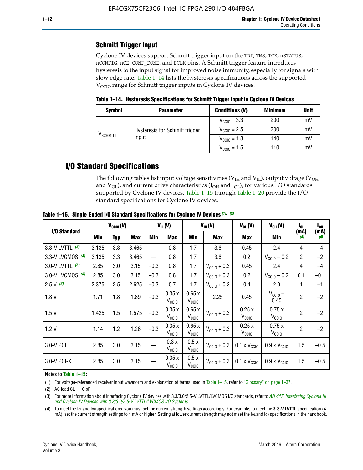### **Schmitt Trigger Input**

Cyclone IV devices support Schmitt trigger input on the TDI, TMS, TCK, nSTATUS, nCONFIG, nCE, CONF\_DONE, and DCLK pins. A Schmitt trigger feature introduces hysteresis to the input signal for improved noise immunity, especially for signals with slow edge rate. Table 1–14 lists the hysteresis specifications across the supported  $V<sub>CCIO</sub>$  range for Schmitt trigger inputs in Cyclone IV devices.

**Table 1–14. Hysteresis Specifications for Schmitt Trigger Input in Cyclone IV Devices**

| <b>Symbol</b>                  | <b>Parameter</b>               | <b>Conditions (V)</b>   | <b>Minimum</b> | <b>Unit</b> |
|--------------------------------|--------------------------------|-------------------------|----------------|-------------|
|                                |                                | $V_{\text{CGI0}} = 3.3$ | 200            | mV          |
|                                | Hysteresis for Schmitt trigger | $V_{\text{CC10}} = 2.5$ | 200            | mV          |
| $\mathsf{V}_{\mathsf{SCHMIT}}$ | input                          | $V_{\text{CCIO}} = 1.8$ | 140            | mV          |
|                                |                                | $V_{\text{CCIO}} = 1.5$ | 110            | m           |

### **I/O Standard Specifications**

The following tables list input voltage sensitivities ( $V<sub>IH</sub>$  and  $V<sub>II</sub>$ ), output voltage ( $V<sub>OH</sub>$ and  $V_{OL}$ ), and current drive characteristics ( $I_{OH}$  and  $I_{OL}$ ), for various I/O standards supported by Cyclone IV devices. Table 1–15 through Table 1–20 provide the I/O standard specifications for Cyclone IV devices.

|                   | $V_{CClO}(V)$ |            | $V_{IL}(V)$ |        |                            | $V_{IH} (V)$               | $V_{OL}(V)$             | $V_{OH} (V)$                 | l <sub>OL</sub>              | $I_{0H}$       |             |
|-------------------|---------------|------------|-------------|--------|----------------------------|----------------------------|-------------------------|------------------------------|------------------------------|----------------|-------------|
| I/O Standard      | Min           | <b>Typ</b> | Max         | Min    | Max                        | Min                        | <b>Max</b>              | Max                          | Min                          | (mA)<br>(4)    | (mA)<br>(4) |
| 3.3-V LVTTL (3)   | 3.135         | 3.3        | 3.465       |        | 0.8                        | 1.7                        | 3.6                     | 0.45                         | 2.4                          | 4              | $-4$        |
| 3.3-V LVCMOS (3)  | 3.135         | 3.3        | 3.465       |        | 0.8                        | 1.7                        | 3.6                     | 0.2                          | $V_{\text{CCIO}} - 0.2$      | $\overline{2}$ | $-2$        |
| 3.0-V LVTTL $(3)$ | 2.85          | 3.0        | 3.15        | $-0.3$ | 0.8                        | 1.7                        | $V_{\text{CC10}} + 0.3$ | 0.45                         | 2.4                          | $\overline{4}$ | $-4$        |
| 3.0-V LVCMOS (3)  | 2.85          | 3.0        | 3.15        | $-0.3$ | 0.8                        | 1.7                        | $V_{\text{CCI}0}$ + 0.3 | 0.2                          | $V_{\text{CC10}} - 0.2$      | 0.1            | $-0.1$      |
| $2.5 V$ (3)       | 2.375         | 2.5        | 2.625       | $-0.3$ | 0.7                        | 1.7                        | $V_{\text{CCI}0}$ + 0.3 | 0.4                          | 2.0                          | 1              | $-1$        |
| 1.8V              | 1.71          | 1.8        | 1.89        | $-0.3$ | 0.35x<br>V <sub>CCIO</sub> | 0.65x<br>V <sub>CCIO</sub> | 2.25                    | 0.45                         | $V_{\text{CCIO}}$ –<br>0.45  | $\overline{2}$ | $-2$        |
| 1.5V              | 1.425         | 1.5        | 1.575       | $-0.3$ | 0.35x<br>V <sub>CCIO</sub> | 0.65x<br>V <sub>CCIO</sub> | $V_{\text{CGI0}} + 0.3$ | 0.25x<br>V <sub>CCIO</sub>   | 0.75x<br>V <sub>CCIO</sub>   | $\overline{2}$ | $-2$        |
| 1.2V              | 1.14          | 1.2        | 1.26        | $-0.3$ | 0.35x<br>V <sub>CCIO</sub> | 0.65x<br>V <sub>CCIO</sub> | $V_{\text{CGI0}} + 0.3$ | 0.25x<br>V <sub>CCIO</sub>   | 0.75x<br>V <sub>CCIO</sub>   | $\overline{2}$ | $-2$        |
| 3.0-V PCI         | 2.85          | 3.0        | 3.15        |        | 0.3x<br>V <sub>CCIO</sub>  | 0.5x<br>V <sub>CCIO</sub>  | $V_{\text{CC10}} + 0.3$ | $0.1 \times V_{CC10}$        | $0.9 \times V_{\text{CC10}}$ | 1.5            | $-0.5$      |
| 3.0-V PCI-X       | 2.85          | 3.0        | 3.15        |        | 0.35x<br>V <sub>CCIO</sub> | 0.5x<br>V <sub>CCIO</sub>  | $V_{\text{CC10}} + 0.3$ | $0.1 \times V_{\text{CCIO}}$ | $0.9 \times V_{\text{CC10}}$ | 1.5            | $-0.5$      |

**Table 1–15. Single**-**Ended I/O Standard Specifications for Cyclone IV Devices** *(1)***,** *(2)*

#### **Notes to Table 1–15:**

(1) For voltage-referenced receiver input waveform and explanation of terms used in Table 1–15, refer to "Glossary" on page 1–37.

(2) AC load  $CL = 10$  pF

(3) For more information about interfacing Cyclone IV devices with 3.3/3.0/2.5-V LVTTL/LVCMOS I/O standards, refer to *[AN 447: Interfacing Cyclone III](http://www.altera.com/literature/an/an447.pdf)  [and Cyclone IV Devices with 3.3/3.0/2.5-V LVTTL/LVCMOS I/O Systems](http://www.altera.com/literature/an/an447.pdf)*.

(4) To meet the IOL and IOH specifications, you must set the current strength settings accordingly. For example, to meet the **3.3-V LVTTL** specification (4 mA), set the current strength settings to 4 mA or higher. Setting at lower current strength may not meet the lou and lon specifications in the handbook.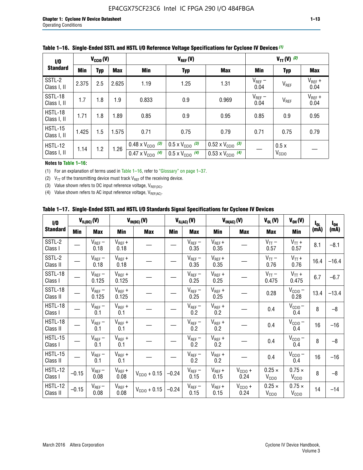| 1/0                           | $V_{CGI0}(V)$ |            |            |                                                                        | $V_{REF}(V)$                                                         |                                                                        |                     |                           | $V_{TT} (V)$ (2)    |  |  |  |
|-------------------------------|---------------|------------|------------|------------------------------------------------------------------------|----------------------------------------------------------------------|------------------------------------------------------------------------|---------------------|---------------------------|---------------------|--|--|--|
| <b>Standard</b>               | <b>Min</b>    | <b>Typ</b> | <b>Max</b> | Min                                                                    | <b>Typ</b>                                                           | <b>Max</b>                                                             | Min                 | <b>Typ</b>                | Max                 |  |  |  |
| SSTL-2<br>Class I, II         | 2.375         | 2.5        | 2.625      | 1.19                                                                   | 1.25                                                                 | 1.31                                                                   | $V_{REF}$ –<br>0.04 | V <sub>REF</sub>          | $V_{REF}$ +<br>0.04 |  |  |  |
| SSTL-18<br>Class I, II        | 1.7           | 1.8        | 1.9        | 0.833                                                                  | 0.9                                                                  | 0.969                                                                  | $V_{REF}$ –<br>0.04 | V <sub>REF</sub>          | $V_{REF}$ +<br>0.04 |  |  |  |
| HSTL-18<br>Class I, II        | 1.71          | 1.8        | .89        | 0.85                                                                   | 0.9                                                                  | 0.95                                                                   | 0.85                | 0.9                       | 0.95                |  |  |  |
| <b>HSTL-15</b><br>Class I, II | 1.425         | 1.5        | 1.575      | 0.71                                                                   | 0.75                                                                 | 0.79                                                                   | 0.71                | 0.75                      | 0.79                |  |  |  |
| HSTL-12<br>Class I, II        | 1.14          | 1.2        | 1.26       | $0.48 \times V_{\text{CC10}}$ (3)<br>$0.47 \times V_{\text{CC10}}$ (4) | $0.5 \times V_{\text{CC10}}$ (3)<br>$0.5 \times V_{\text{CC10}}$ (4) | $0.52 \times V_{\text{CC10}}$ (3)<br>$0.53 \times V_{\text{CC10}}$ (4) |                     | 0.5x<br>V <sub>CCIO</sub> |                     |  |  |  |

|  |  |  |  | Table 1–16. Single-Ended SSTL and HSTL I/O Reference Voltage Specifications for Cyclone IV Devices (1) |
|--|--|--|--|--------------------------------------------------------------------------------------------------------|
|--|--|--|--|--------------------------------------------------------------------------------------------------------|

#### **Notes to Table 1–16:**

(1) For an explanation of terms used in Table 1–16, refer to "Glossary" on page 1–37.

(2)  $V_{TT}$  of the transmitting device must track  $V_{REF}$  of the receiving device.

(3) Value shown refers to DC input reference voltage,  $V_{REF(DC)}$ .

(4) Value shown refers to AC input reference voltage,  $V_{REF(AC)}$ .

|  | Table 1–17.  Single-Ended SSTL and HSTL I/O Standards Signal Specifications for Cyclone IV Devices |  |  |  |  |  |
|--|----------------------------------------------------------------------------------------------------|--|--|--|--|--|
|--|----------------------------------------------------------------------------------------------------|--|--|--|--|--|

| I/O                        |         | $V_{IL(DC)}(V)$        |                                      | $V_{IH(DC)}(V)$       |         | $V_{IL(AC)}(V)$     |                     | $V_{IH(AC)}(V)$      | $V_{OL}(V)$                        | $V_{OH} (V)$                       | l <sub>ol</sub> | $I_{0H}$ |
|----------------------------|---------|------------------------|--------------------------------------|-----------------------|---------|---------------------|---------------------|----------------------|------------------------------------|------------------------------------|-----------------|----------|
| <b>Standard</b>            | Min     | <b>Max</b>             | Min                                  | <b>Max</b>            | Min     | <b>Max</b>          | Min                 | <b>Max</b>           | <b>Max</b>                         | Min                                | (mA)            | (mA)     |
| SSTL-2<br>Class I          |         | $\rm V_{REF}-$<br>0.18 | $V_{REF} +$<br>0.18                  |                       |         | $V_{REF}$ –<br>0.35 | $V_{REF} +$<br>0.35 |                      | $V_{TT}$ –<br>0.57                 | $V_{TT}$ +<br>0.57                 | 8.1             | $-8.1$   |
| SSTL-2<br>Class II         |         | $V_{REF}$ –<br>0.18    | $V_{REF} +$<br>0.18                  |                       |         | $V_{REF}$ –<br>0.35 | $V_{REF} +$<br>0.35 |                      | $V_{TT}$ –<br>0.76                 | $V_{TT}$ +<br>0.76                 | 16.4            | $-16.4$  |
| <b>SSTL-18</b><br>Class I  |         | $V_{REF}$ –<br>0.125   | $V_{REF}$ +<br>0.125                 |                       |         | $V_{REF}$ –<br>0.25 | $V_{REF}$ +<br>0.25 |                      | $V_{TT}$ –<br>0.475                | $V_{TT}$ +<br>0.475                | 6.7             | $-6.7$   |
| <b>SSTL-18</b><br>Class II |         | $V_{REF}$ –<br>0.125   | $V_{REF}$ +<br>0.125                 |                       |         | $V_{REF}$ –<br>0.25 | $V_{REF}$ +<br>0.25 |                      | 0.28                               | $V_{CC10} -$<br>0.28               | 13.4            | $-13.4$  |
| HSTL-18<br>Class I         |         | $V_{REF}$ –<br>0.1     | $V_{REF} +$<br>0.1                   |                       |         | $V_{REF}$ –<br>0.2  | $V_{REF}$ +<br>0.2  |                      | 0.4                                | $V_{CCIO}$ –<br>0.4                | 8               | $-8$     |
| HSTL-18<br>Class II        |         | $V_{REF}$ –<br>0.1     | $V_{REF} +$<br>0.1                   |                       |         | $V_{REF}$ –<br>0.2  | $V_{REF} +$<br>0.2  |                      | 0.4                                | $V_{CC10}$ –<br>0.4                | 16              | $-16$    |
| HSTL-15<br>Class I         |         | $V_{REF}$ –<br>0.1     | $V_{REF} +$<br>0.1                   |                       |         | $V_{REF}$ –<br>0.2  | $V_{REF}$ +<br>0.2  |                      | 0.4                                | $V_{\text{CC1O}} -$<br>0.4         | 8               | $-8$     |
| HSTL-15<br>Class II        |         | $V_{REF}$ –<br>0.1     | $\mathsf{V}_{\mathsf{REF}}$ +<br>0.1 |                       |         | $V_{REF}$ –<br>0.2  | $V_{REF}$ +<br>0.2  |                      | 0.4                                | $V_{CC10}$ –<br>0.4                | 16              | $-16$    |
| <b>HSTL-12</b><br>Class I  | $-0.15$ | $V_{REF}-$<br>0.08     | $V_{REF} +$<br>0.08                  | $V_{CGI0} + 0.15$     | $-0.24$ | $V_{REF}$ –<br>0.15 | $V_{REF} +$<br>0.15 | $V_{CCIO} +$<br>0.24 | $0.25 \times$<br>V <sub>CCIO</sub> | $0.75 \times$<br>V <sub>CCIO</sub> | 8               | $-8$     |
| HSTL-12<br>Class II        | $-0.15$ | $V_{REF}-$<br>0.08     | $V_{REF} +$<br>0.08                  | $V_{\rm CClO} + 0.15$ | $-0.24$ | $V_{REF}$ –<br>0.15 | $V_{REF} +$<br>0.15 | $V_{CC10}$ +<br>0.24 | $0.25 \times$<br>V <sub>CCIO</sub> | $0.75 \times$<br>V <sub>CCIO</sub> | 14              | $-14$    |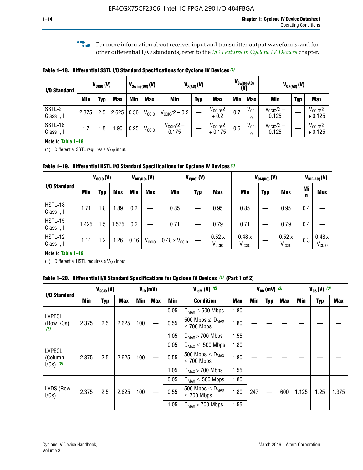**f For more information about receiver input and transmitter output waveforms, and for** other differential I/O standards, refer to the *[I/O Features in Cyclone IV Devices](http://www.altera.com/literature/hb/cyclone-iv/cyiv-51006.pdf)* chapter*.*

**Table 1–18. Differential SSTL I/O Standard Specifications for Cyclone IV Devices** *(1)*

| I/O Standard<br>SSTL-2 |       | $V_{\text{CCIO}}(V)$ |            |      | $V_{\text{Swing(DC)}}(V)$ |                           | $V_{X(AC)}(V)$ |                                 | (V) | $V_{\text{Swing}(AC)}$       |                                | $V_{OX(AC)}(V)$ |                                 |
|------------------------|-------|----------------------|------------|------|---------------------------|---------------------------|----------------|---------------------------------|-----|------------------------------|--------------------------------|-----------------|---------------------------------|
|                        | Min   | Typ                  | <b>Max</b> | Min  | <b>Max</b>                | <b>Min</b>                | <b>Typ</b>     | <b>Max</b>                      | Min | <b>Max</b>                   | Min                            | <b>Typ</b>      | <b>Max</b>                      |
| Class I, II            | 2.375 | 2.5                  | 2.625      | 0.36 | V <sub>CCIO</sub>         | $V_{\text{CC10}}/2 - 0.2$ |                | $V_{\text{CC10}}/2$<br>$+0.2$   | 0.7 | $V_{\text{CCI}}$<br>$\Omega$ | $V_{\text{CC10}}/2 -$<br>0.125 |                 | $V_{\text{CC10}}/2$<br>$+0.125$ |
| SSTL-18<br>Class I, II | 1.7   | .8                   | .90        | 0.25 | V <sub>CCIO</sub>         | $V_{CC10}/2 -$<br>0.175   |                | $V_{\text{CC10}}/2$<br>$+0.175$ | 0.5 | $V_{\text{CCI}}$<br>0        | $V_{\text{CC10}}/2 -$<br>0.125 |                 | $V_{\text{CC10}}/2$<br>$+0.125$ |

#### **Note to Table 1–18:**

(1) Differential SSTL requires a  $V_{REF}$  input.

**Table 1–19. Differential HSTL I/O Standard Specifications for Cyclone IV Devices** *(1)*

|                               | $V_{CClO}(V)$ |     |            |         | $V_{\text{DIF(DC)}}(V)$ |                               | $V_{X(AC)}(V)$ |                            |                            | $V_{CM(DC)}(V)$ |                            |         | $V_{\text{DIF(AC)}}(V)$    |
|-------------------------------|---------------|-----|------------|---------|-------------------------|-------------------------------|----------------|----------------------------|----------------------------|-----------------|----------------------------|---------|----------------------------|
| I/O Standard                  | Min           | Typ | <b>Max</b> | Min     | <b>Max</b>              | Min                           | <b>Typ</b>     | <b>Max</b>                 | Min                        | <b>Typ</b>      | <b>Max</b>                 | Mi<br>n | <b>Max</b>                 |
| HSTL-18<br>Class I, II        | 1.71          | 1.8 | .89        | 0.2     |                         | 0.85                          |                | 0.95                       | 0.85                       |                 | 0.95                       | 0.4     |                            |
| <b>HSTL-15</b><br>Class I, II | 1.425         | 1.5 | .575       | $0.2\,$ |                         | 0.71                          |                | 0.79                       | 0.71                       |                 | 0.79                       | 0.4     |                            |
| <b>HSTL-12</b><br>Class I, II | 1.14          | 1.2 | 1.26       | 0.16    | V <sub>CCIO</sub>       | $0.48 \times V_{\text{CC10}}$ |                | 0.52x<br>V <sub>CCIO</sub> | 0.48x<br>V <sub>CCIO</sub> |                 | 0.52x<br>V <sub>CCIO</sub> | 0.3     | 0.48x<br>V <sub>CCIO</sub> |

#### **Note to Table 1–19:**

(1) Differential HSTL requires a  $V_{REF}$  input.

**Table 1–20. Differential I/O Standard Specifications for Cyclone IV Devices** *(1)* **(Part 1 of 2)**

| I/O Standard                       |       | $V_{CCl0} (V)$ |            |            | $V_{ID}$ (mV) |      | $V_{\text{lcm}}(V)^{(2)}$                  |            |     | $V_{0D}$ (mV) $(3)$ |     |       | $V_{0S} (V)^{(3)}$ |       |
|------------------------------------|-------|----------------|------------|------------|---------------|------|--------------------------------------------|------------|-----|---------------------|-----|-------|--------------------|-------|
|                                    | Min   | Typ            | <b>Max</b> | <b>Min</b> | Max           | Min  | <b>Condition</b>                           | <b>Max</b> | Min | Typ                 | Max | Min   | <b>Typ</b>         | Max   |
|                                    |       |                |            |            |               | 0.05 | $D_{MAX} \leq 500$ Mbps                    | 1.80       |     |                     |     |       |                    |       |
| <b>LVPECL</b><br>(Row I/Os)<br>(6) | 2.375 | 2.5            | 2.625      | 100        |               | 0.55 | 500 Mbps $\leq D_{MAX}$<br>$\leq$ 700 Mbps | 1.80       |     |                     |     |       |                    |       |
|                                    |       |                |            |            |               | 1.05 | $D_{MAX}$ > 700 Mbps                       | 1.55       |     |                     |     |       |                    |       |
| <b>LVPECL</b>                      |       |                |            |            |               | 0.05 | $D_{MAX} \leq 500$ Mbps                    | 1.80       |     |                     |     |       |                    |       |
| (Column<br>$1/Os)$ (6)             | 2.375 | 2.5            | 2.625      | 100        |               | 0.55 | 500 Mbps $\leq D_{MAX}$<br>$\leq$ 700 Mbps | 1.80       |     |                     |     |       |                    |       |
|                                    |       |                |            |            |               | 1.05 | $D_{MAX}$ > 700 Mbps                       | 1.55       |     |                     |     |       |                    |       |
|                                    |       |                |            |            |               | 0.05 | $D_{MAX} \leq 500$ Mbps                    | 1.80       |     |                     |     |       |                    |       |
| LVDS (Row<br>I/Os)                 | 2.375 | 2.5            | 2.625      | 100        |               | 0.55 | 500 Mbps $\leq D_{MAX}$<br>$\leq 700$ Mbps | 1.80       | 247 |                     | 600 | 1.125 | 1.25               | 1.375 |
|                                    |       |                |            |            |               | 1.05 | $D_{MAX}$ > 700 Mbps                       | 1.55       |     |                     |     |       |                    |       |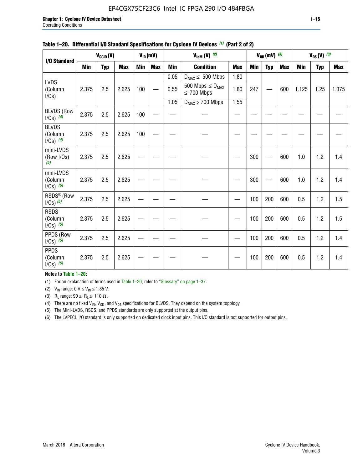#### EP4CGX75CF23C6 Intel IC FPGA 290 I/O 484FBGA

| I/O Standard                             |            | $V_{CClO}(V)$ |            |            | $V_{ID}(mV)$ |            | $V_{\text{lcm}}(V)^{(2)}$                  |            |            | $V_{0D}$ (mV) $(3)$ |            |            | $V_{0S} (V)$ (3) |       |
|------------------------------------------|------------|---------------|------------|------------|--------------|------------|--------------------------------------------|------------|------------|---------------------|------------|------------|------------------|-------|
|                                          | <b>Min</b> | <b>Typ</b>    | <b>Max</b> | <b>Min</b> | <b>Max</b>   | <b>Min</b> | <b>Condition</b>                           | <b>Max</b> | <b>Min</b> | <b>Typ</b>          | <b>Max</b> | <b>Min</b> | <b>Typ</b>       | Max   |
|                                          |            |               |            |            |              | 0.05       | $D_{MAX} \leq 500$ Mbps                    | 1.80       |            |                     |            |            |                  |       |
| <b>LVDS</b><br>(Column<br>$I/Os$ )       | 2.375      | 2.5           | 2.625      | 100        |              | 0.55       | 500 Mbps $\leq D_{MAX}$<br>$\leq 700$ Mbps | 1.80       | 247        |                     | 600        | 1.125      | 1.25             | 1.375 |
|                                          |            |               |            |            |              | 1.05       | $D_{MAX}$ > 700 Mbps                       | 1.55       |            |                     |            |            |                  |       |
| <b>BLVDS (Row</b><br>$1/0s)$ (4)         | 2.375      | 2.5           | 2.625      | 100        |              |            |                                            |            |            |                     |            |            |                  |       |
| <b>BLVDS</b><br>(Column<br>$1/0s)$ (4)   | 2.375      | 2.5           | 2.625      | 100        |              |            |                                            |            |            |                     |            |            |                  |       |
| mini-LVDS<br>(Row I/Os)<br>(5)           | 2.375      | 2.5           | 2.625      |            |              |            |                                            |            | 300        |                     | 600        | 1.0        | 1.2              | 1.4   |
| mini-LVDS<br>(Column<br>$1/0s)$ (5)      | 2.375      | 2.5           | 2.625      |            |              |            |                                            |            | 300        |                     | 600        | 1.0        | 1.2              | 1.4   |
| RSDS <sup>®</sup> (Row<br>$1/0s$ ) $(5)$ | 2.375      | 2.5           | 2.625      |            |              |            |                                            |            | 100        | 200                 | 600        | 0.5        | 1.2              | 1.5   |
| <b>RSDS</b><br>(Column<br>$1/0s)$ (5)    | 2.375      | 2.5           | 2.625      |            |              |            |                                            |            | 100        | 200                 | 600        | 0.5        | 1.2              | 1.5   |
| PPDS (Row<br>$1/Os)$ (5)                 | 2.375      | 2.5           | 2.625      |            |              |            |                                            |            | 100        | 200                 | 600        | 0.5        | 1.2              | 1.4   |
| <b>PPDS</b><br>(Column<br>$1/0s)$ (5)    | 2.375      | 2.5           | 2.625      |            |              |            |                                            |            | 100        | 200                 | 600        | 0.5        | 1.2              | 1.4   |

#### **Table 1–20. Differential I/O Standard Specifications for Cyclone IV Devices** *(1)* **(Part 2 of 2)**

#### **Notes to Table 1–20:**

(1) For an explanation of terms used in Table 1–20, refer to "Glossary" on page 1–37.

(2)  $V_{IN}$  range: 0  $V \le V_{IN} \le 1.85$  V.

(3) R<sub>L</sub> range:  $90 \le R_L \le 110 \Omega$ .

(4) There are no fixed  $V_{IN}$ ,  $V_{OD}$ , and  $V_{OS}$  specifications for BLVDS. They depend on the system topology.

(5) The Mini-LVDS, RSDS, and PPDS standards are only supported at the output pins.

(6) The LVPECL I/O standard is only supported on dedicated clock input pins. This I/O standard is not supported for output pins.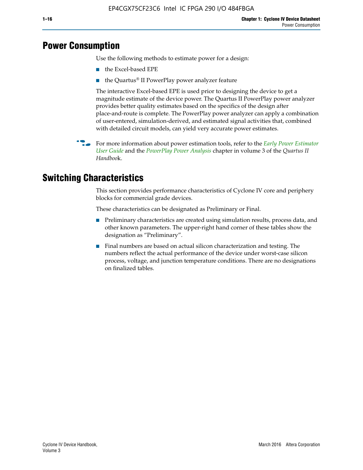# **Power Consumption**

Use the following methods to estimate power for a design:

- the Excel-based EPE
- the Quartus® II PowerPlay power analyzer feature

The interactive Excel-based EPE is used prior to designing the device to get a magnitude estimate of the device power. The Quartus II PowerPlay power analyzer provides better quality estimates based on the specifics of the design after place-and-route is complete. The PowerPlay power analyzer can apply a combination of user-entered, simulation-derived, and estimated signal activities that, combined with detailed circuit models, can yield very accurate power estimates.

f For more information about power estimation tools, refer to the *[Early Power Estimator](http://www.altera.com/literature/ug/ug_epe.pdf
)  [User Guide](http://www.altera.com/literature/ug/ug_epe.pdf
)* and the *[PowerPlay Power Analysis](http://www.altera.com/literature/hb/qts/qts_qii53013.pdf)* chapter in volume 3 of the *Quartus II Handboo*k.

# **Switching Characteristics**

This section provides performance characteristics of Cyclone IV core and periphery blocks for commercial grade devices.

These characteristics can be designated as Preliminary or Final.

- Preliminary characteristics are created using simulation results, process data, and other known parameters. The upper-right hand corner of these tables show the designation as "Preliminary".
- Final numbers are based on actual silicon characterization and testing. The numbers reflect the actual performance of the device under worst-case silicon process, voltage, and junction temperature conditions. There are no designations on finalized tables.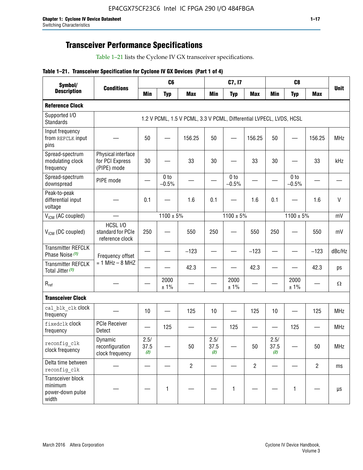# **Transceiver Performance Specifications**

Table 1–21 lists the Cyclone IV GX transceiver specifications.

#### **Table 1–21. Transceiver Specification for Cyclone IV GX Devices (Part 1 of 4)**

| Symbol/                                                   |                                                      |                     | C <sub>6</sub>             |                                                                     |                     | C7, I7                     |                |                     | C <sub>8</sub>  |                |              |
|-----------------------------------------------------------|------------------------------------------------------|---------------------|----------------------------|---------------------------------------------------------------------|---------------------|----------------------------|----------------|---------------------|-----------------|----------------|--------------|
| <b>Description</b>                                        | <b>Conditions</b>                                    | <b>Min</b>          | <b>Typ</b>                 | <b>Max</b>                                                          | <b>Min</b>          | <b>Typ</b>                 | <b>Max</b>     | <b>Min</b>          | <b>Typ</b>      | <b>Max</b>     | <b>Unit</b>  |
| <b>Reference Clock</b>                                    |                                                      |                     |                            |                                                                     |                     |                            |                |                     |                 |                |              |
| Supported I/O<br><b>Standards</b>                         |                                                      |                     |                            | 1.2 V PCML, 1.5 V PCML, 3.3 V PCML, Differential LVPECL, LVDS, HCSL |                     |                            |                |                     |                 |                |              |
| Input frequency<br>from REFCLK input<br>pins              |                                                      | 50                  |                            | 156.25                                                              | 50                  |                            | 156.25         | 50                  |                 | 156.25         | <b>MHz</b>   |
| Spread-spectrum<br>modulating clock<br>frequency          | Physical interface<br>for PCI Express<br>(PIPE) mode | 30                  |                            | 33                                                                  | 30                  |                            | 33             | 30                  |                 | 33             | kHz          |
| Spread-spectrum<br>downspread                             | PIPE mode                                            |                     | 0 <sub>to</sub><br>$-0.5%$ |                                                                     |                     | 0 <sub>to</sub><br>$-0.5%$ |                |                     | 0 to<br>$-0.5%$ |                |              |
| Peak-to-peak<br>differential input<br>voltage             |                                                      | 0.1                 |                            | 1.6                                                                 | 0.1                 |                            | 1.6            | 0.1                 |                 | 1.6            | $\mathsf{V}$ |
| V <sub>ICM</sub> (AC coupled)                             |                                                      |                     | $1100 \pm 5\%$             |                                                                     |                     | $1100 \pm 5\%$             |                |                     | $1100 \pm 5\%$  |                | mV           |
| $VICM$ (DC coupled)                                       | HCSL I/O<br>standard for PCIe<br>reference clock     | 250                 |                            | 550                                                                 | 250                 |                            | 550            | 250                 |                 | 550            | mV           |
| <b>Transmitter REFCLK</b><br>Phase Noise (1)              | Frequency offset                                     |                     |                            | $-123$                                                              |                     |                            | $-123$         |                     |                 | $-123$         | dBc/Hz       |
| <b>Transmitter REFCLK</b><br>Total Jitter (1)             | $= 1$ MHz $- 8$ MHZ                                  |                     |                            | 42.3                                                                |                     |                            | 42.3           |                     |                 | 42.3           | ps           |
| $R_{ref}$                                                 |                                                      |                     | 2000<br>± 1%               |                                                                     |                     | 2000<br>± 1%               |                |                     | 2000<br>± 1%    |                | $\Omega$     |
| <b>Transceiver Clock</b>                                  |                                                      |                     |                            |                                                                     |                     |                            |                |                     |                 |                |              |
| cal blk clk clock<br>frequency                            |                                                      | 10                  |                            | 125                                                                 | 10                  |                            | 125            | 10                  |                 | 125            | <b>MHz</b>   |
| fixedclk Clock<br>frequency                               | <b>PCIe Receiver</b><br>Detect                       |                     | 125                        |                                                                     |                     | 125                        |                |                     | 125             |                | <b>MHz</b>   |
| reconfig clk<br>clock frequency                           | Dynamic<br>reconfiguration<br>clock frequency        | 2.5/<br>37.5<br>(2) |                            | 50                                                                  | 2.5/<br>37.5<br>(2) |                            | 50             | 2.5/<br>37.5<br>(2) |                 | 50             | <b>MHz</b>   |
| Delta time between<br>reconfig_clk                        |                                                      |                     |                            | $\overline{2}$                                                      |                     |                            | $\overline{2}$ |                     |                 | $\overline{2}$ | ms           |
| Transceiver block<br>minimum<br>power-down pulse<br>width |                                                      |                     | 1                          |                                                                     |                     | 1                          |                |                     | $\mathbf{1}$    |                | $\mu s$      |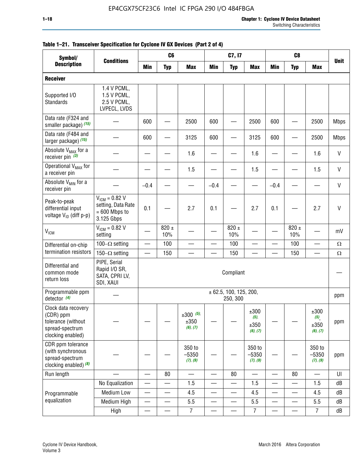| Symbol/                                                                                        |                                                                           |                          | C <sub>6</sub>   |                                    |                          | C7, I7                             |                                     |                          | C <sub>8</sub>           |                                 |              |
|------------------------------------------------------------------------------------------------|---------------------------------------------------------------------------|--------------------------|------------------|------------------------------------|--------------------------|------------------------------------|-------------------------------------|--------------------------|--------------------------|---------------------------------|--------------|
| <b>Description</b>                                                                             | <b>Conditions</b>                                                         | <b>Min</b>               | <b>Typ</b>       | <b>Max</b>                         | <b>Min</b>               | <b>Typ</b>                         | <b>Max</b>                          | <b>Min</b>               | <b>Typ</b>               | <b>Max</b>                      | <b>Unit</b>  |
| <b>Receiver</b>                                                                                |                                                                           |                          |                  |                                    |                          |                                    |                                     |                          |                          |                                 |              |
| Supported I/O<br>Standards                                                                     | 1.4 V PCML,<br>1.5 V PCML,<br>2.5 V PCML,<br>LVPECL, LVDS                 |                          |                  |                                    |                          |                                    |                                     |                          |                          |                                 |              |
| Data rate (F324 and<br>smaller package) (15)                                                   |                                                                           | 600                      |                  | 2500                               | 600                      |                                    | 2500                                | 600                      |                          | 2500                            | <b>Mbps</b>  |
| Data rate (F484 and<br>larger package) (15)                                                    |                                                                           | 600                      |                  | 3125                               | 600                      |                                    | 3125                                | 600                      |                          | 2500                            | <b>Mbps</b>  |
| Absolute V <sub>MAX</sub> for a<br>receiver pin $(3)$                                          |                                                                           |                          |                  | 1.6                                |                          |                                    | 1.6                                 |                          |                          | 1.6                             | $\mathsf{V}$ |
| Operational V <sub>MAX</sub> for<br>a receiver pin                                             |                                                                           |                          |                  | 1.5                                |                          |                                    | 1.5                                 |                          |                          | 1.5                             | $\vee$       |
| Absolute V <sub>MIN</sub> for a<br>receiver pin                                                |                                                                           | $-0.4$                   |                  |                                    | $-0.4$                   |                                    |                                     | $-0.4$                   |                          |                                 | V            |
| Peak-to-peak<br>differential input<br>voltage V <sub>ID</sub> (diff p-p)                       | $V_{IGM} = 0.82 V$<br>setting, Data Rate<br>$= 600$ Mbps to<br>3.125 Gbps | 0.1                      |                  | 2.7                                | 0.1                      |                                    | 2.7                                 | 0.1                      |                          | 2.7                             | $\vee$       |
| <b>V<sub>ICM</sub></b>                                                                         | $V_{IGM} = 0.82 V$<br>setting                                             |                          | 820 $\pm$<br>10% |                                    |                          | 820 $\pm$<br>10%                   |                                     |                          | 820 $\pm$<br>10%         |                                 | mV           |
| Differential on-chip                                                                           | 100 $-\Omega$ setting                                                     |                          | 100              |                                    |                          | 100                                |                                     |                          | 100                      | —                               | $\Omega$     |
| termination resistors                                                                          | 150 $-\Omega$ setting                                                     |                          | 150              | $\overline{\phantom{0}}$           |                          | 150                                |                                     | $\sim$                   | 150                      | $\overline{\phantom{0}}$        | $\Omega$     |
| Differential and<br>common mode<br>return loss                                                 | PIPE, Serial<br>Rapid I/O SR,<br>SATA, CPRI LV,<br>SDI, XAUI              | Compliant                |                  |                                    |                          |                                    |                                     |                          |                          |                                 |              |
| Programmable ppm<br>detector $(4)$                                                             |                                                                           |                          |                  |                                    |                          | ± 62.5, 100, 125, 200,<br>250, 300 |                                     |                          |                          |                                 | ppm          |
| Clock data recovery<br>(CDR) ppm<br>tolerance (without<br>spread-spectrum<br>clocking enabled) |                                                                           |                          |                  | $\pm 300$ (5),<br>±350<br>(6), (7) |                          |                                    | ±300<br>$(5)$ ,<br>±350<br>(6), (7) |                          |                          | ±300<br>(5)<br>±350<br>(6), (7) | ppm          |
| CDR ppm tolerance<br>(with synchronous<br>spread-spectrum<br>clocking enabled) (8)             |                                                                           |                          |                  | 350 to<br>$-5350$<br>(7), (9)      |                          |                                    | 350 to<br>$-5350$<br>(7), (9)       |                          |                          | 350 to<br>$-5350$<br>(7), (9)   | ppm          |
| Run length                                                                                     |                                                                           | $\overline{\phantom{0}}$ | 80               | $\qquad \qquad$                    |                          | 80                                 | $\qquad \qquad$                     | —                        | 80                       |                                 | UI           |
|                                                                                                | No Equalization                                                           | —                        |                  | 1.5                                |                          |                                    | 1.5                                 | $\overline{\phantom{0}}$ |                          | 1.5                             | dB           |
| Programmable                                                                                   | Medium Low                                                                | $\qquad \qquad$          |                  | 4.5                                | $\overline{\phantom{0}}$ | $\overline{\phantom{0}}$           | 4.5                                 |                          | $\qquad \qquad$          | 4.5                             | dB           |
| equalization                                                                                   | Medium High                                                               | $\overline{\phantom{0}}$ |                  | 5.5                                |                          |                                    | 5.5                                 | —                        | $\overline{\phantom{0}}$ | 5.5                             | dB           |
|                                                                                                | High                                                                      |                          |                  | $\overline{7}$                     | $\overline{\phantom{0}}$ |                                    | $\overline{7}$                      | —                        |                          | $\overline{7}$                  | dB           |

### **Table 1–21. Transceiver Specification for Cyclone IV GX Devices (Part 2 of 4)**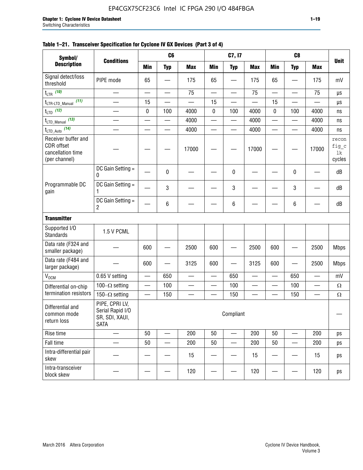| Symbol/                                                                 |                                                                     |            | C <sub>6</sub>           |                          |                          | C7, I7     |                          |                          | C <sub>8</sub>           |            |                                |
|-------------------------------------------------------------------------|---------------------------------------------------------------------|------------|--------------------------|--------------------------|--------------------------|------------|--------------------------|--------------------------|--------------------------|------------|--------------------------------|
| <b>Description</b>                                                      | <b>Conditions</b>                                                   | <b>Min</b> | <b>Typ</b>               | <b>Max</b>               | <b>Min</b>               | <b>Typ</b> | <b>Max</b>               | <b>Min</b>               | <b>Typ</b>               | <b>Max</b> | <b>Unit</b>                    |
| Signal detect/loss<br>threshold                                         | PIPE mode                                                           | 65         |                          | 175                      | 65                       |            | 175                      | 65                       |                          | 175        | mV                             |
| $t_{LTR}$ (10)                                                          | $\overline{\phantom{0}}$                                            | $\equiv$   | $\overline{\phantom{0}}$ | 75                       | $\overline{\phantom{0}}$ | —          | 75                       | $\overline{\phantom{0}}$ |                          | 75         | μs                             |
| (11)<br>t <sub>LTR-LTD_Manual</sub>                                     | —                                                                   | 15         |                          |                          | 15                       |            |                          | 15                       |                          |            | μs                             |
| $t_{LTD}$ (12)                                                          | $\overline{\phantom{0}}$                                            | 0          | 100                      | 4000                     | 0                        | 100        | 4000                     | 0                        | 100                      | 4000       | ns                             |
| $t_{\text{LTD\_Manual}}$ (13)                                           |                                                                     |            |                          | 4000                     | —                        |            | 4000                     | —                        |                          | 4000       | ns                             |
| $t_{\text{LTD\_Auto}}$ (14)                                             |                                                                     |            | $\overline{\phantom{0}}$ | 4000                     | $\equiv$                 | $\equiv$   | 4000                     | $\overline{\phantom{0}}$ | $\overline{\phantom{0}}$ | 4000       | ns                             |
| Receiver buffer and<br>CDR offset<br>cancellation time<br>(per channel) |                                                                     |            |                          | 17000                    |                          |            | 17000                    |                          |                          | 17000      | recon<br>fig_c<br>1k<br>cycles |
|                                                                         | DC Gain Setting =<br>0                                              |            | 0                        |                          |                          | 0          |                          |                          | 0                        |            | dB                             |
| Programmable DC<br>gain                                                 | DC Gain Setting =<br>1                                              |            | 3                        |                          |                          | 3          |                          |                          | 3                        |            | dB                             |
|                                                                         | DC Gain Setting =<br>$\overline{c}$                                 |            | 6                        |                          |                          | 6          |                          |                          | 6                        |            | dB                             |
| <b>Transmitter</b>                                                      |                                                                     |            |                          |                          |                          |            |                          |                          |                          |            |                                |
| Supported I/O<br><b>Standards</b>                                       | 1.5 V PCML                                                          |            |                          |                          |                          |            |                          |                          |                          |            |                                |
| Data rate (F324 and<br>smaller package)                                 |                                                                     | 600        |                          | 2500                     | 600                      |            | 2500                     | 600                      |                          | 2500       | <b>Mbps</b>                    |
| Data rate (F484 and<br>larger package)                                  |                                                                     | 600        |                          | 3125                     | 600                      |            | 3125                     | 600                      |                          | 2500       | <b>Mbps</b>                    |
| V <sub>OCM</sub>                                                        | 0.65 V setting                                                      |            | 650                      |                          | $\overline{\phantom{0}}$ | 650        | $\overline{\phantom{a}}$ |                          | 650                      |            | mV                             |
| Differential on-chip                                                    | 100 $-\Omega$ setting                                               | —          | 100                      | —                        | $\qquad \qquad$          | 100        |                          | $\overline{\phantom{0}}$ | 100                      | —          | $\Omega$                       |
| termination resistors                                                   | 150 $-\Omega$ setting                                               |            | 150                      | $\overline{\phantom{0}}$ |                          | 150        |                          |                          | 150                      |            | $\Omega$                       |
| Differential and<br>common mode<br>return loss                          | PIPE, CPRI LV,<br>Serial Rapid I/O<br>SR, SDI, XAUI,<br><b>SATA</b> | Compliant  |                          |                          |                          |            |                          |                          |                          |            |                                |
| Rise time                                                               |                                                                     | 50         |                          | 200                      | 50                       |            | 200                      | 50                       |                          | 200        | ps                             |
| Fall time                                                               |                                                                     | 50         |                          | 200                      | 50                       |            | 200                      | 50                       |                          | 200        | ps                             |
| Intra-differential pair<br>skew                                         |                                                                     |            |                          | 15                       |                          |            | 15                       |                          |                          | 15         | ps                             |
| Intra-transceiver<br>block skew                                         |                                                                     |            |                          | 120                      |                          |            | 120                      |                          |                          | 120        | ps                             |

#### **Table 1–21. Transceiver Specification for Cyclone IV GX Devices (Part 3 of 4)**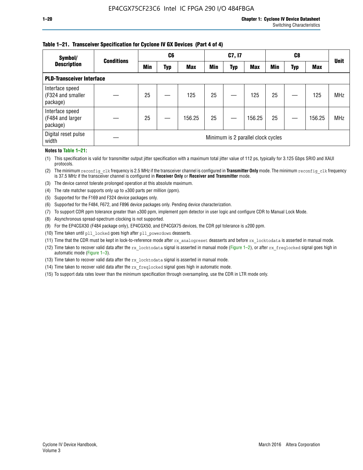#### **Table 1–21. Transceiver Specification for Cyclone IV GX Devices (Part 4 of 4)**

| Symbol/                                          | <b>Conditions</b> |                                    | C <sub>6</sub> |            |            | C7, I7     |            |            | C8  |            | <b>Unit</b> |
|--------------------------------------------------|-------------------|------------------------------------|----------------|------------|------------|------------|------------|------------|-----|------------|-------------|
| <b>Description</b>                               |                   | <b>Min</b>                         | Typ            | <b>Max</b> | <b>Min</b> | <b>Typ</b> | <b>Max</b> | <b>Min</b> | Typ | <b>Max</b> |             |
| <b>PLD-Transceiver Interface</b>                 |                   |                                    |                |            |            |            |            |            |     |            |             |
| Interface speed<br>(F324 and smaller<br>package) |                   | 25                                 |                | 125        | 25         |            | 125        | 25         |     | 125        | <b>MHz</b>  |
| Interface speed<br>(F484 and larger<br>package)  |                   | 25                                 |                | 156.25     | 25         |            | 156.25     | 25         |     | 156.25     | <b>MHz</b>  |
| Digital reset pulse<br>width                     |                   | Minimum is 2 parallel clock cycles |                |            |            |            |            |            |     |            |             |

#### **Notes to Table 1–21:**

(1) This specification is valid for transmitter output jitter specification with a maximum total jitter value of 112 ps, typically for 3.125 Gbps SRIO and XAUI protocols.

(2) The minimum reconfig\_clk frequency is 2.5 MHz if the transceiver channel is configured in **Transmitter Only** mode. The minimum reconfig\_clk frequency is 37.5 MHz if the transceiver channel is configured in **Receiver Only** or **Receiver and Transmitter** mode.

(3) The device cannot tolerate prolonged operation at this absolute maximum.

- (4) The rate matcher supports only up to  $\pm 300$  parts per million (ppm).
- (5) Supported for the F169 and F324 device packages only.
- (6) Supported for the F484, F672, and F896 device packages only. Pending device characterization.
- (7) To support CDR ppm tolerance greater than ±300 ppm, implement ppm detector in user logic and configure CDR to Manual Lock Mode.
- (8) Asynchronous spread-spectrum clocking is not supported.
- (9) For the EP4CGX30 (F484 package only), EP4CGX50, and EP4CGX75 devices, the CDR ppl tolerance is ±200 ppm.
- (10) Time taken until pll\_locked goes high after pll\_powerdown deasserts.
- (11) Time that the CDR must be kept in lock-to-reference mode after rx analogreset deasserts and before rx locktodata is asserted in manual mode.

(12) Time taken to recover valid data after the rx locktodata signal is asserted in manual mode (Figure 1–2), or after rx freqlocked signal goes high in automatic mode (Figure 1–3).

(13) Time taken to recover valid data after the rx locktodata signal is asserted in manual mode.

- (14) Time taken to recover valid data after the rx freqlocked signal goes high in automatic mode.
- (15) To support data rates lower than the minimum specification through oversampling, use the CDR in LTR mode only.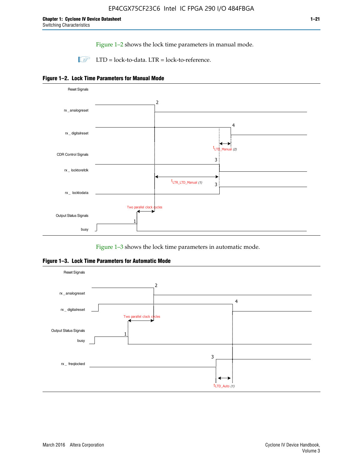Figure 1–2 shows the lock time parameters in manual mode.

 $\Box$  LTD = lock-to-data. LTR = lock-to-reference.





Figure 1–3 shows the lock time parameters in automatic mode.

**Figure 1–3. Lock Time Parameters for Automatic Mode**

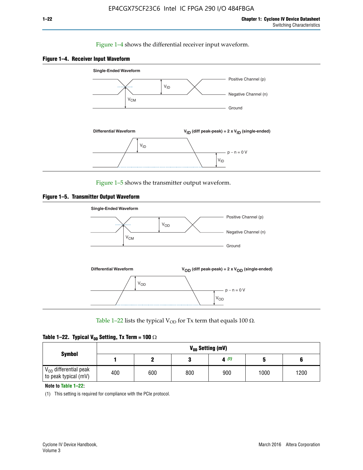#### Figure 1–4 shows the differential receiver input waveform.





Figure 1–5 shows the transmitter output waveform.





Table 1–22 lists the typical V<sub>OD</sub> for Tx term that equals 100  $\Omega$ .

| Table 1–22. Typical V <sub>0D</sub> Setting, Tx Term = 100 $\Omega$ |  |  |  |  |  |  |  |
|---------------------------------------------------------------------|--|--|--|--|--|--|--|
|---------------------------------------------------------------------|--|--|--|--|--|--|--|

| <b>Symbol</b>                                          |     | V <sub>on</sub> Setting (mV) |     |      |      |      |  |  |  |  |  |  |  |
|--------------------------------------------------------|-----|------------------------------|-----|------|------|------|--|--|--|--|--|--|--|
|                                                        |     |                              |     | 4(1) |      |      |  |  |  |  |  |  |  |
| $\rm V_{OD}$ differential peak<br>to peak typical (mV) | 400 | 600                          | 800 | 900  | 1000 | 1200 |  |  |  |  |  |  |  |

**Note to Table 1–22:**

(1) This setting is required for compliance with the PCIe protocol.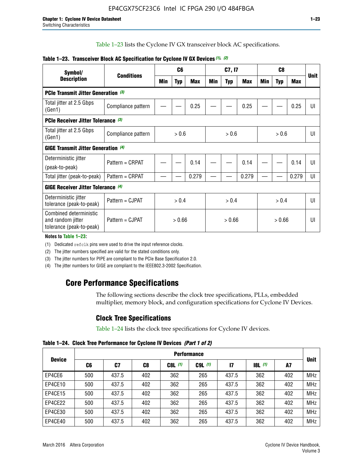Table 1–23 lists the Cyclone IV GX transceiver block AC specifications.

| Symbol/                                                                 | <b>Conditions</b>  |        | C <sub>6</sub> |            |     | C7, I7     |            |     | C <sub>8</sub> |            |             |  |
|-------------------------------------------------------------------------|--------------------|--------|----------------|------------|-----|------------|------------|-----|----------------|------------|-------------|--|
| <b>Description</b>                                                      |                    | Min    | <b>Typ</b>     | <b>Max</b> | Min | <b>Typ</b> | <b>Max</b> | Min | <b>Typ</b>     | <b>Max</b> | <b>Unit</b> |  |
| <b>PCIe Transmit Jitter Generation</b> (3)                              |                    |        |                |            |     |            |            |     |                |            |             |  |
| Total jitter at 2.5 Gbps<br>(Gen1)                                      | Compliance pattern |        |                | 0.25       |     |            | 0.25       |     |                | 0.25       | UI          |  |
| <b>PCIe Receiver Jitter Tolerance (3)</b>                               |                    |        |                |            |     |            |            |     |                |            |             |  |
| Total jitter at 2.5 Gbps<br>(Gen1)                                      | Compliance pattern |        | > 0.6          |            |     | > 0.6      |            |     | > 0.6          |            | UI          |  |
| <b>GIGE Transmit Jitter Generation (4)</b>                              |                    |        |                |            |     |            |            |     |                |            |             |  |
| Deterministic jitter                                                    | Pattern = CRPAT    |        |                | 0.14       |     |            | 0.14       |     |                | 0.14       | UI          |  |
| (peak-to-peak)                                                          |                    |        |                |            |     |            |            |     |                |            |             |  |
| Total jitter (peak-to-peak)                                             | Pattern = CRPAT    |        |                | 0.279      |     |            | 0.279      |     |                | 0.279      | UI          |  |
| <b>GIGE Receiver Jitter Tolerance (4)</b>                               |                    |        |                |            |     |            |            |     |                |            |             |  |
| Deterministic jitter<br>tolerance (peak-to-peak)                        | Pattern = CJPAT    | > 0.4  |                |            |     | > 0.4      |            |     | > 0.4          |            | U           |  |
| Combined deterministic<br>and random jitter<br>tolerance (peak-to-peak) | Pattern = CJPAT    | > 0.66 |                |            |     | > 0.66     |            |     | > 0.66         |            | UI          |  |

#### **Table 1–23. Transceiver Block AC Specification for Cyclone IV GX Devices** *(1)***,** *(2)*

#### **Notes to Table 1–23:**

(1) Dedicated refclk pins were used to drive the input reference clocks.

(2) The jitter numbers specified are valid for the stated conditions only.

(3) The jitter numbers for PIPE are compliant to the PCIe Base Specification 2.0.

(4) The jitter numbers for GIGE are compliant to the IEEE802.3-2002 Specification.

### **Core Performance Specifications**

The following sections describe the clock tree specifications, PLLs, embedded multiplier, memory block, and configuration specifications for Cyclone IV Devices.

### **Clock Tree Specifications**

Table 1–24 lists the clock tree specifications for Cyclone IV devices.

**Table 1–24. Clock Tree Performance for Cyclone IV Devices** *(Part 1 of 2)*

| <b>Device</b> |     | <b>Performance</b> |     |           |             |       |       |     |             |  |  |  |  |  |  |
|---------------|-----|--------------------|-----|-----------|-------------|-------|-------|-----|-------------|--|--|--|--|--|--|
|               | C6  | C7                 | C8  | $C8L$ (1) | $C9L$ $(1)$ | 17    | 8L(1) | A7  | <b>Unit</b> |  |  |  |  |  |  |
| EP4CE6        | 500 | 437.5              | 402 | 362       | 265         | 437.5 | 362   | 402 | <b>MHz</b>  |  |  |  |  |  |  |
| EP4CE10       | 500 | 437.5              | 402 | 362       | 265         | 437.5 | 362   | 402 | <b>MHz</b>  |  |  |  |  |  |  |
| EP4CE15       | 500 | 437.5              | 402 | 362       | 265         | 437.5 | 362   | 402 | <b>MHz</b>  |  |  |  |  |  |  |
| EP4CE22       | 500 | 437.5              | 402 | 362       | 265         | 437.5 | 362   | 402 | <b>MHz</b>  |  |  |  |  |  |  |
| EP4CE30       | 500 | 437.5              | 402 | 362       | 265         | 437.5 | 362   | 402 | <b>MHz</b>  |  |  |  |  |  |  |
| EP4CE40       | 500 | 437.5              | 402 | 362       | 265         | 437.5 | 362   | 402 | <b>MHz</b>  |  |  |  |  |  |  |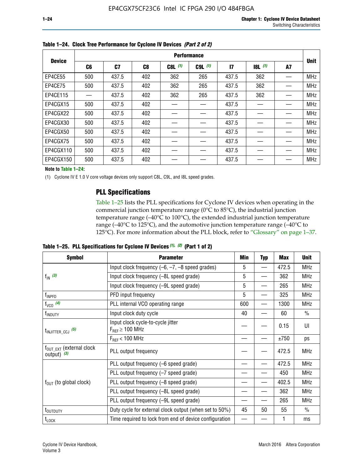|               |     | <b>Performance</b> |     |           |             |               |           |    |             |  |  |  |  |  |  |
|---------------|-----|--------------------|-----|-----------|-------------|---------------|-----------|----|-------------|--|--|--|--|--|--|
| <b>Device</b> | C6  | C7                 | C8  | $C8L$ (1) | $C9L$ $(1)$ | $\mathsf{I}7$ | $18L$ (1) | A7 | <b>Unit</b> |  |  |  |  |  |  |
| EP4CE55       | 500 | 437.5              | 402 | 362       | 265         | 437.5         | 362       |    | <b>MHz</b>  |  |  |  |  |  |  |
| EP4CE75       | 500 | 437.5              | 402 | 362       | 265         | 437.5         | 362       |    | <b>MHz</b>  |  |  |  |  |  |  |
| EP4CE115      |     | 437.5              | 402 | 362       | 265         | 437.5         | 362       |    | <b>MHz</b>  |  |  |  |  |  |  |
| EP4CGX15      | 500 | 437.5              | 402 |           |             | 437.5         |           |    | <b>MHz</b>  |  |  |  |  |  |  |
| EP4CGX22      | 500 | 437.5              | 402 |           |             | 437.5         |           |    | <b>MHz</b>  |  |  |  |  |  |  |
| EP4CGX30      | 500 | 437.5              | 402 |           |             | 437.5         |           |    | <b>MHz</b>  |  |  |  |  |  |  |
| EP4CGX50      | 500 | 437.5              | 402 |           |             | 437.5         |           |    | <b>MHz</b>  |  |  |  |  |  |  |
| EP4CGX75      | 500 | 437.5              | 402 |           |             | 437.5         |           |    | <b>MHz</b>  |  |  |  |  |  |  |
| EP4CGX110     | 500 | 437.5              | 402 |           |             | 437.5         |           |    | <b>MHz</b>  |  |  |  |  |  |  |
| EP4CGX150     | 500 | 437.5              | 402 |           |             | 437.5         |           |    | <b>MHz</b>  |  |  |  |  |  |  |

**Table 1–24. Clock Tree Performance for Cyclone IV Devices** *(Part 2 of 2)*

**Note to Table 1–24:**

(1) Cyclone IV E 1.0 V core voltage devices only support C8L, C9L, and I8L speed grades.

### **PLL Specifications**

Table 1–25 lists the PLL specifications for Cyclone IV devices when operating in the commercial junction temperature range (0°C to 85°C), the industrial junction temperature range (–40°C to 100°C), the extended industrial junction temperature range (–40°C to 125°C), and the automotive junction temperature range (–40°C to 125°C). For more information about the PLL block, refer to "Glossary" on page 1–37.

|  |  | Table 1–25. PLL Specifications for Cyclone IV Devices $(1)$ , $(2)$ (Part 1 of 2) |  |
|--|--|-----------------------------------------------------------------------------------|--|
|--|--|-----------------------------------------------------------------------------------|--|

| <b>Symbol</b>                                          | <b>Parameter</b>                                            | Min | <b>Typ</b>               | <b>Max</b> | <b>Unit</b>   |
|--------------------------------------------------------|-------------------------------------------------------------|-----|--------------------------|------------|---------------|
|                                                        | Input clock frequency $(-6, -7, -8)$ speed grades)          | 5   | —                        | 472.5      | <b>MHz</b>    |
| $f_{\text{IN}}(3)$                                     | Input clock frequency (-8L speed grade)                     | 5   |                          | 362        | <b>MHz</b>    |
|                                                        | Input clock frequency (-9L speed grade)                     | 5   | $\overline{\phantom{0}}$ | 265        | <b>MHz</b>    |
| f <sub>INPFD</sub>                                     | PFD input frequency                                         | 5   | $\overline{\phantom{0}}$ | 325        | <b>MHz</b>    |
| $f_{VCO}$ (4)                                          | PLL internal VCO operating range                            | 600 | $\overline{\phantom{0}}$ | 1300       | <b>MHz</b>    |
| f <sub>INDUTY</sub>                                    | Input clock duty cycle                                      | 40  |                          | 60         | $\frac{0}{0}$ |
| $t_{\text{INJITTER\_CCJ}}$ (5)                         | Input clock cycle-to-cycle jitter<br>$F_{RFF} \geq 100$ MHz |     |                          | 0.15       | UI            |
|                                                        | $F_{RFF}$ < 100 MHz                                         |     |                          | ±750       | ps            |
| $f_{\text{OUT\_EXT}}$ (external clock<br>output) $(3)$ | PLL output frequency                                        |     |                          | 472.5      | <b>MHz</b>    |
|                                                        | PLL output frequency (-6 speed grade)                       |     |                          | 472.5      | <b>MHz</b>    |
|                                                        | PLL output frequency (-7 speed grade)                       |     |                          | 450        | <b>MHz</b>    |
| $f_{\text{OUT}}$ (to global clock)                     | PLL output frequency (-8 speed grade)                       |     |                          | 402.5      | <b>MHz</b>    |
|                                                        | PLL output frequency (-8L speed grade)                      |     |                          | 362        | <b>MHz</b>    |
|                                                        | PLL output frequency (-9L speed grade)                      |     |                          | 265        | <b>MHz</b>    |
| t <sub>outduty</sub>                                   | Duty cycle for external clock output (when set to 50%)      | 45  | 50                       | 55         | $\frac{0}{0}$ |
| $t_{\text{LOCK}}$                                      | Time required to lock from end of device configuration      |     |                          |            | ms            |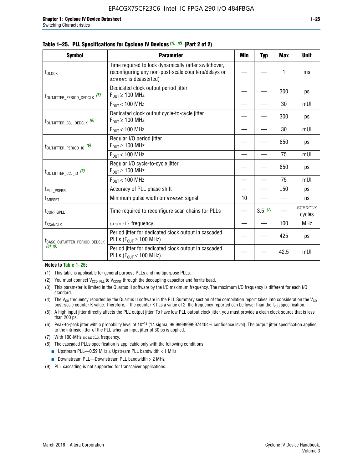|  |  | Table 1–25. PLL Specifications for Cyclone IV Devices (1), (2) (Part 2 of 2) |  |
|--|--|------------------------------------------------------------------------------|--|
|--|--|------------------------------------------------------------------------------|--|

| <b>Symbol</b>                             | <b>Parameter</b>                                                                                                                     | Min | <b>Typ</b> | <b>Max</b> | <b>Unit</b>              |
|-------------------------------------------|--------------------------------------------------------------------------------------------------------------------------------------|-----|------------|------------|--------------------------|
| t <sub>DLOCK</sub>                        | Time required to lock dynamically (after switchover,<br>reconfiguring any non-post-scale counters/delays or<br>areset is deasserted) |     |            | 1          | ms                       |
| t <sub>outjitter_period_dedclk</sub> (6)  | Dedicated clock output period jitter<br>$F_{OIII} \geq 100$ MHz                                                                      |     |            | 300        | ps                       |
|                                           | $F_{\text{OUT}}$ < 100 MHz                                                                                                           |     |            | 30         | mUI                      |
| t <sub>outjitter_ccj_dedclk</sub> (6)     | Dedicated clock output cycle-to-cycle jitter<br>$F_{\text{OUT}} \geq 100 \text{ MHz}$                                                |     |            | 300        | ps                       |
|                                           | $F_{\text{OUT}}$ < 100 MHz                                                                                                           |     |            | 30         | mUI                      |
| t <sub>outjitter_period_io</sub> (6)      | Regular I/O period jitter<br>$F_{OIII} \geq 100$ MHz                                                                                 |     |            | 650        | ps                       |
|                                           | $F_{OUT}$ < 100 MHz                                                                                                                  |     |            | 75         | mUI                      |
| t <sub>outjitter_ccj_io</sub> (6)         | Regular I/O cycle-to-cycle jitter<br>$F_{OUT} \geq 100$ MHz                                                                          |     |            | 650        | ps                       |
|                                           | $F_{\text{OUT}}$ < 100 MHz                                                                                                           |     |            | 75         | mUI                      |
| t <sub>PLL_PSERR</sub>                    | Accuracy of PLL phase shift                                                                                                          |     |            | ±50        | ps                       |
| t <sub>ARESET</sub>                       | Minimum pulse width on areset signal.                                                                                                | 10  |            |            | ns                       |
| t <sub>configpll</sub>                    | Time required to reconfigure scan chains for PLLs                                                                                    |     | 3.5(7)     |            | <b>SCANCLK</b><br>cycles |
| f <sub>SCANCLK</sub>                      | scanclk frequency                                                                                                                    |     |            | 100        | <b>MHz</b>               |
| t <sub>CASC_OUTJITTER_PERIOD_DEDCLK</sub> | Period jitter for dedicated clock output in cascaded<br>PLLs ( $F_{OUT} \ge 100$ MHz)                                                |     |            | 425        | ps                       |
| (8), (9)                                  | Period jitter for dedicated clock output in cascaded<br>PLLs ( $F_{OUT}$ < 100 MHz)                                                  |     |            | 42.5       | mUI                      |

#### **Notes to Table 1–25:**

- (1) This table is applicable for general purpose PLLs and multipurpose PLLs.
- (2) You must connect  $V_{CCD-PLL}$  to  $V_{CCINT}$  through the decoupling capacitor and ferrite bead.
- (3) This parameter is limited in the Quartus II software by the I/O maximum frequency. The maximum I/O frequency is different for each I/O standard.
- (4) The  $V_{CO}$  frequency reported by the Quartus II software in the PLL Summary section of the compilation report takes into consideration the  $V_{CO}$ post-scale counter K value. Therefore, if the counter K has a value of 2, the frequency reported can be lower than the f<sub>VCO</sub> specification.
- (5) A high input jitter directly affects the PLL output jitter. To have low PLL output clock jitter, you must provide a clean clock source that is less than 200 ps.
- (6) Peak-to-peak jitter with a probability level of 10–12 (14 sigma, 99.99999999974404% confidence level). The output jitter specification applies to the intrinsic jitter of the PLL when an input jitter of 30 ps is applied.
- (7) With 100-MHz scanclk frequency.
- (8) The cascaded PLLs specification is applicable only with the following conditions:
	- **■** Upstream PLL—0.59 MHz  $\leq$  Upstream PLL bandwidth  $<$  1 MHz
	- Downstream PLL—Downstream PLL bandwidth > 2 MHz
- (9) PLL cascading is not supported for transceiver applications.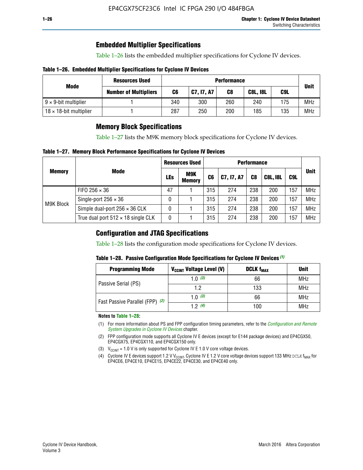### **Embedded Multiplier Specifications**

Table 1–26 lists the embedded multiplier specifications for Cyclone IV devices.

#### **Table 1–26. Embedded Multiplier Specifications for Cyclone IV Devices**

|                                | <b>Resources Used</b>        | <b>Performance</b> |            |     |                 |     |             |  |  |
|--------------------------------|------------------------------|--------------------|------------|-----|-----------------|-----|-------------|--|--|
| Mode                           | <b>Number of Multipliers</b> | C6                 | C7, I7, A7 | C8  | <b>C8L, I8L</b> | C9L | <b>Unit</b> |  |  |
| $9 \times 9$ -bit multiplier   |                              | 340                | 300        | 260 | 240             | 175 | <b>MHz</b>  |  |  |
| $18 \times 18$ -bit multiplier |                              | 287                | 250        | 200 | 185             | 135 | <b>MHz</b>  |  |  |

### **Memory Block Specifications**

Table 1–27 lists the M9K memory block specifications for Cyclone IV devices.

#### **Table 1–27. Memory Block Performance Specifications for Cyclone IV Devices**

|               |                                           |     | <b>Resources Used</b>       |                |            |                |                 |     |             |
|---------------|-------------------------------------------|-----|-----------------------------|----------------|------------|----------------|-----------------|-----|-------------|
| <b>Memory</b> | <b>Mode</b>                               | LEs | <b>M9K</b><br><b>Memory</b> | C <sub>6</sub> | C7, I7, A7 | C <sub>8</sub> | <b>C8L, I8L</b> | C9L | <b>Unit</b> |
| M9K Block     | FIFO 256 $\times$ 36                      | 47  |                             | 315            | 274        | 238            | 200             | 157 | <b>MHz</b>  |
|               | Single-port $256 \times 36$               | 0   |                             | 315            | 274        | 238            | 200             | 157 | <b>MHz</b>  |
|               | Simple dual-port $256 \times 36$ CLK      | 0   |                             | 315            | 274        | 238            | 200             | 157 | <b>MHz</b>  |
|               | True dual port $512 \times 18$ single CLK | 0   |                             | 315            | 274        | 238            | 200             | 157 | <b>MHz</b>  |

### **Configuration and JTAG Specifications**

Table 1–28 lists the configuration mode specifications for Cyclone IV devices.

#### **Table 1–28. Passive Configuration Mode Specifications for Cyclone IV Devices** *(1)*

| <b>Programming Mode</b>         | V <sub>CCINT</sub> Voltage Level (V) | <b>DCLK f<sub>MAX</sub></b> | <b>Unit</b> |
|---------------------------------|--------------------------------------|-----------------------------|-------------|
| Passive Serial (PS)             | 1.0 $(3)$                            | 66                          | MHz         |
|                                 | 1.2                                  | 133                         | MHz         |
| Fast Passive Parallel (FPP) (2) | 1.0 $(3)$                            | 66                          | <b>MHz</b>  |
|                                 | 12(4)                                | 100                         | <b>MHz</b>  |

#### **Notes to Table 1–28:**

- (1) For more information about PS and FPP configuration timing parameters, refer to the *[Configuration and Remote](http://www.altera.com/literature/hb/cyclone-iv/cyiv-51008.pdf)  [System Upgrades in Cyclone IV Devices](http://www.altera.com/literature/hb/cyclone-iv/cyiv-51008.pdf)* chapter.
- (2) FPP configuration mode supports all Cyclone IV E devices (except for E144 package devices) and EP4CGX50, EP4CGX75, EP4CGX110, and EP4CGX150 only.
- (3)  $V_{CCMT}$  = 1.0 V is only supported for Cyclone IV E 1.0 V core voltage devices.
- (4) Cyclone IV E devices support 1.2 V V<sub>CCINT</sub>. Cyclone IV E 1.2 V core voltage devices support 133 MHz DCLK f<sub>MAX</sub> for EP4CE6, EP4CE10, EP4CE15, EP4CE22, EP4CE30, and EP4CE40 only.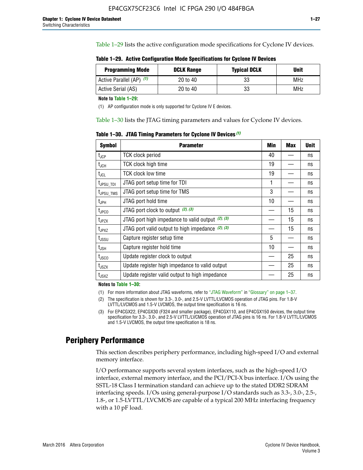Table 1–29 lists the active configuration mode specifications for Cyclone IV devices.

**Table 1–29. Active Configuration Mode Specifications for Cyclone IV Devices**

| <b>Programming Mode</b>  | <b>DCLK Range</b> | <b>Typical DCLK</b> | Unit |
|--------------------------|-------------------|---------------------|------|
| Active Parallel (AP) (1) | 20 to 40          | 33                  | MHz  |
| Active Serial (AS)       | 20 to 40          | 33                  | MHz  |

**Note to Table 1–29:**

(1) AP configuration mode is only supported for Cyclone IV E devices.

Table 1–30 lists the JTAG timing parameters and values for Cyclone IV devices.

**Table 1–30. JTAG Timing Parameters for Cyclone IV Devices** *(1)*

| <b>Symbol</b>         | <b>Parameter</b>                                       | Min | <b>Max</b> | <b>Unit</b> |
|-----------------------|--------------------------------------------------------|-----|------------|-------------|
| $t_{JCP}$             | <b>TCK clock period</b>                                | 40  |            | ns          |
| $t_{\rm JCH}$         | TCK clock high time                                    | 19  |            | ns          |
| $t_{JCL}$             | TCK clock low time                                     | 19  |            | ns          |
| $t_{JPSU\_TDI}$       | JTAG port setup time for TDI                           | 1   |            | ns          |
| t <sub>JPSU_TMS</sub> | JTAG port setup time for TMS                           | 3   |            | ns          |
| t <sub>JPH</sub>      | JTAG port hold time                                    | 10  |            | ns          |
| t <sub>JPCO</sub>     | JTAG port clock to output $(2)$ , $(3)$                |     | 15         | ns          |
| t <sub>JPZX</sub>     | JTAG port high impedance to valid output $(2)$ , $(3)$ |     | 15         | ns          |
| t <sub>JPXZ</sub>     | JTAG port valid output to high impedance $(2)$ , $(3)$ |     | 15         | ns          |
| $t_{\rm JSSU}$        | Capture register setup time                            | 5   |            | ns          |
| $t_{\mathsf{JSH}}$    | Capture register hold time                             | 10  |            | ns          |
| $t_{\rm JSCO}$        | Update register clock to output                        |     | 25         | ns          |
| $t_{\text{JSZX}}$     | Update register high impedance to valid output         |     | 25         | ns          |
| t <sub>JSXZ</sub>     | Update register valid output to high impedance         |     | 25         | ns          |

**Notes to Table 1–30:**

(1) For more information about JTAG waveforms, refer to "JTAG Waveform" in "Glossary" on page 1–37.

(2) The specification is shown for 3.3-, 3.0-, and 2.5-V LVTTL/LVCMOS operation of JTAG pins. For 1.8-V LVTTL/LVCMOS and 1.5-V LVCMOS, the output time specification is 16 ns.

(3) For EP4CGX22, EP4CGX30 (F324 and smaller package), EP4CGX110, and EP4CGX150 devices, the output time specification for 3.3-, 3.0-, and 2.5-V LVTTL/LVCMOS operation of JTAG pins is 16 ns. For 1.8-V LVTTL/LVCMOS and 1.5-V LVCMOS, the output time specification is 18 ns.

### **Periphery Performance**

This section describes periphery performance, including high-speed I/O and external memory interface.

I/O performance supports several system interfaces, such as the high-speed I/O interface, external memory interface, and the PCI/PCI-X bus interface. I/Os using the SSTL-18 Class I termination standard can achieve up to the stated DDR2 SDRAM interfacing speeds. I/Os using general-purpose I/O standards such as 3.3-, 3.0-, 2.5-, 1.8-, or 1.5-LVTTL/LVCMOS are capable of a typical 200 MHz interfacing frequency with a 10 pF load.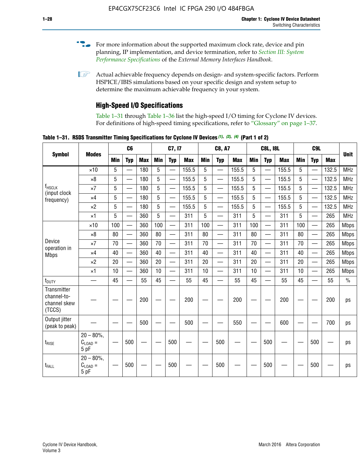- For more information about the supported maximum clock rate, device and pin planning, IP implementation, and device termination, refer to *[Section III: System](http://www.altera.com/literature/hb/external-memory/emi_intro_specs.pdf)  [Performance Specifications](http://www.altera.com/literature/hb/external-memory/emi_intro_specs.pdf)* of the *External Memory Interfaces Handbook*.
- **1 Actual achievable frequency depends on design- and system-specific factors. Perform** HSPICE/IBIS simulations based on your specific design and system setup to determine the maximum achievable frequency in your system.

### **High-Speed I/O Specifications**

Table 1–31 through Table 1–36 list the high-speed I/O timing for Cyclone IV devices. For definitions of high-speed timing specifications, refer to "Glossary" on page 1–37.

**Table 1–31. RSDS Transmitter Timing Specifications for Cyclone IV Devices** *(1)***,** *(2)***,** *(4)* **(Part 1 of 2)**

|                                                      |                                                     | C6              |                          | C7, I7     |            | <b>C8, A7</b>            |            |            | <b>C8L, I8L</b>          |            |            | C <sub>9</sub> L         |            |            |                          |            |               |
|------------------------------------------------------|-----------------------------------------------------|-----------------|--------------------------|------------|------------|--------------------------|------------|------------|--------------------------|------------|------------|--------------------------|------------|------------|--------------------------|------------|---------------|
| <b>Symbol</b>                                        | <b>Modes</b>                                        | <b>Min</b>      | <b>Typ</b>               | <b>Max</b> | <b>Min</b> | <b>Typ</b>               | <b>Max</b> | <b>Min</b> | <b>Typ</b>               | <b>Max</b> | <b>Min</b> | <b>Typ</b>               | <b>Max</b> | <b>Min</b> | <b>Typ</b>               | <b>Max</b> | <b>Unit</b>   |
|                                                      | $\times$ 10                                         | 5               | —                        | 180        | 5          | ÷,                       | 155.5      | 5          | $\overline{\phantom{0}}$ | 155.5      | 5          |                          | 155.5      | 5          |                          | 132.5      | <b>MHz</b>    |
| f <sub>HSCLK</sub><br>(input clock                   | $\times 8$                                          | 5               |                          | 180        | 5          |                          | 155.5      | 5          | $\overline{\phantom{0}}$ | 155.5      | 5          |                          | 155.5      | 5          |                          | 132.5      | <b>MHz</b>    |
|                                                      | $\times 7$                                          | 5               |                          | 180        | 5          |                          | 155.5      | 5          | $\overline{\phantom{0}}$ | 155.5      | 5          |                          | 155.5      | 5          |                          | 132.5      | <b>MHz</b>    |
| frequency)                                           | $\times$ 4                                          | 5               |                          | 180        | 5          | $\overline{\phantom{0}}$ | 155.5      | 5          | $\qquad \qquad$          | 155.5      | 5          |                          | 155.5      | 5          | $\overline{\phantom{0}}$ | 132.5      | <b>MHz</b>    |
|                                                      | $\times 2$                                          | 5               |                          | 180        | 5          |                          | 155.5      | 5          | $\equiv$                 | 155.5      | 5          | $\overline{\phantom{0}}$ | 155.5      | 5          | $\overline{\phantom{0}}$ | 132.5      | <b>MHz</b>    |
|                                                      | $\times$ 1                                          | 5               |                          | 360        | 5          |                          | 311        | 5          | $\overline{\phantom{0}}$ | 311        | 5          | $\equiv$                 | 311        | 5          | $\equiv$                 | 265        | <b>MHz</b>    |
|                                                      | $\times$ 10                                         | 100             |                          | 360        | 100        |                          | 311        | 100        | $\equiv$                 | 311        | 100        | $\overline{\phantom{0}}$ | 311        | 100        | $\overline{\phantom{0}}$ | 265        | <b>Mbps</b>   |
|                                                      | $\times 8$                                          | 80              | $\overline{\phantom{0}}$ | 360        | 80         |                          | 311        | 80         | $\overline{\phantom{0}}$ | 311        | 80         | $\overline{\phantom{0}}$ | 311        | 80         | $\overline{\phantom{0}}$ | 265        | <b>Mbps</b>   |
| Device<br>operation in                               | $\times 7$                                          | 70              | $\overline{\phantom{0}}$ | 360        | 70         | $\overline{\phantom{0}}$ | 311        | 70         | $\overline{\phantom{0}}$ | 311        | 70         |                          | 311        | 70         | $\equiv$                 | 265        | <b>Mbps</b>   |
| <b>Mbps</b>                                          | $\times$ 4                                          | 40              |                          | 360        | 40         |                          | 311        | 40         | $\overline{\phantom{0}}$ | 311        | 40         | $\overline{\phantom{0}}$ | 311        | 40         | $\overline{\phantom{0}}$ | 265        | <b>Mbps</b>   |
|                                                      | $\times 2$                                          | 20              | $\overline{\phantom{0}}$ | 360        | 20         | $\overline{\phantom{0}}$ | 311        | 20         | $\overline{\phantom{0}}$ | 311        | 20         | $\qquad \qquad$          | 311        | 20         |                          | 265        | <b>Mbps</b>   |
|                                                      | $\times$ 1                                          | 10              |                          | 360        | 10         |                          | 311        | 10         | $\overline{\phantom{0}}$ | 311        | 10         | $\overline{\phantom{0}}$ | 311        | 10         | $\overline{\phantom{0}}$ | 265        | <b>Mbps</b>   |
| t <sub>DUTY</sub>                                    | —                                                   | 45              | $\qquad \qquad$          | 55         | 45         |                          | 55         | 45         | $\overline{\phantom{0}}$ | 55         | 45         |                          | 55         | 45         |                          | 55         | $\frac{0}{0}$ |
| Transmitter<br>channel-to-<br>channel skew<br>(TCCS) |                                                     |                 |                          | 200        |            |                          | 200        |            |                          | 200        |            |                          | 200        |            |                          | 200        | ps            |
| Output jitter<br>(peak to peak)                      |                                                     |                 |                          | 500        |            |                          | 500        |            |                          | 550        |            |                          | 600        |            |                          | 700        | ps            |
| t <sub>rise</sub>                                    | $20 - 80\%$<br>$\mathrm{C}_{\text{LOAD}}$ =<br>5 pF | $\qquad \qquad$ | 500                      |            |            | 500                      |            |            | 500                      |            |            | 500                      |            |            | 500                      |            | ps            |
| t <sub>FALL</sub>                                    | $20 - 80\%$<br>$C_{LOAD} =$<br>5 pF                 |                 | 500                      |            |            | 500                      |            |            | 500                      |            |            | 500                      |            |            | 500                      |            | ps            |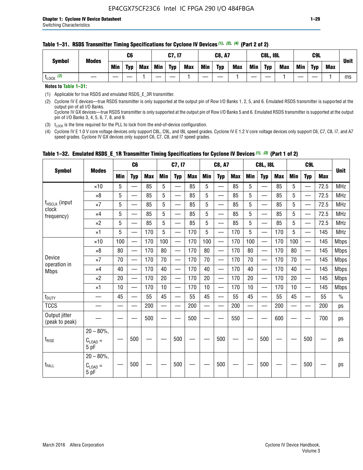#### **Table 1–31. RSDS Transmitter Timing Specifications for Cyclone IV Devices** *(1)***,** *(2)***,** *(4)* **(Part 2 of 2)**

**Notes to Table 1–31:**

(1) Applicable for true RSDS and emulated RSDS\_E\_3R transmitter.

(2) Cyclone IV E devices—true RSDS transmitter is only supported at the output pin of Row I/O Banks 1, 2, 5, and 6. Emulated RSDS transmitter is supported at the output pin of all I/O Banks. Cyclone IV GX devices—true RSDS transmitter is only supported at the output pin of Row I/O Banks 5 and 6. Emulated RSDS transmitter is supported at the output

pin of I/O Banks 3, 4, 5, 6, 7, 8, and 9. (3)  $t_{\text{LOCK}}$  is the time required for the PLL to lock from the end-of-device configuration.

(4) Cyclone IV E 1.0 V core voltage devices only support C8L, C9L, and I8L speed grades. Cyclone IV E 1.2 V core voltage devices only support C6, C7, C8, I7, and A7 speed grades. Cyclone IV GX devices only support C6, C7, C8, and I7 speed grades.

|                                 | <b>Modes</b>                                 |            | C <sub>6</sub>                   |     |            | C7, I7                   |            |                          | <b>C8, A7</b>            |            |            | <b>C8L, I8L</b>          |            |            | C <sub>9</sub> L              |            | <b>Unit</b>   |
|---------------------------------|----------------------------------------------|------------|----------------------------------|-----|------------|--------------------------|------------|--------------------------|--------------------------|------------|------------|--------------------------|------------|------------|-------------------------------|------------|---------------|
| <b>Symbol</b>                   |                                              | <b>Min</b> | <b>Typ</b>                       | Max | <b>Min</b> | <b>Typ</b>               | <b>Max</b> | <b>Min</b>               | <b>Typ</b>               | <b>Max</b> | <b>Min</b> | <b>Typ</b>               | <b>Max</b> | <b>Min</b> | <b>Typ</b>                    | <b>Max</b> |               |
|                                 | $\times$ 10                                  | 5          |                                  | 85  | 5          |                          | 85         | 5                        |                          | 85         | 5          | $\overline{\phantom{0}}$ | 85         | 5          |                               | 72.5       | <b>MHz</b>    |
|                                 | $\times 8$                                   | 5          | $\overline{\phantom{0}}$         | 85  | 5          | —                        | 85         | 5                        | $\overline{\phantom{0}}$ | 85         | 5          | $\overline{\phantom{0}}$ | 85         | 5          |                               | 72.5       | <b>MHz</b>    |
| f <sub>HSCLK</sub> (input       | $\times 7$                                   | 5          | $\overline{\phantom{0}}$         | 85  | 5          |                          | 85         | 5                        | $\overline{\phantom{0}}$ | 85         | 5          | $\overline{\phantom{0}}$ | 85         | 5          |                               | 72.5       | <b>MHz</b>    |
| clock<br>frequency)             | $\times 4$                                   | 5          | $\overline{\phantom{0}}$         | 85  | 5          | $\overline{\phantom{0}}$ | 85         | 5                        | $\overline{\phantom{0}}$ | 85         | 5          | $\overline{\phantom{0}}$ | 85         | 5          |                               | 72.5       | <b>MHz</b>    |
|                                 | $\times 2$                                   | 5          | $\overline{\phantom{0}}$         | 85  | 5          |                          | 85         | 5                        | $\overline{\phantom{0}}$ | 85         | 5          | $\overline{\phantom{0}}$ | 85         | 5          |                               | 72.5       | <b>MHz</b>    |
|                                 | $\times$ 1                                   | 5          | $\overline{\phantom{0}}$         | 170 | 5          |                          | 170        | 5                        |                          | 170        | 5          | $\overline{\phantom{0}}$ | 170        | 5          |                               | 145        | <b>MHz</b>    |
|                                 | $\times$ 10                                  | 100        | $\overline{\phantom{0}}$         | 170 | 100        | $\overline{\phantom{0}}$ | 170        | 100                      | $\overline{\phantom{0}}$ | 170        | 100        | $\overline{\phantom{0}}$ | 170        | 100        |                               | 145        | <b>Mbps</b>   |
|                                 | $\times 8$                                   | 80         | $\overbrace{\phantom{12322111}}$ | 170 | 80         | $\overline{\phantom{0}}$ | 170        | 80                       | $\qquad \qquad -$        | 170        | 80         | $\overline{\phantom{0}}$ | 170        | 80         | $\overbrace{\phantom{aaaaa}}$ | 145        | <b>Mbps</b>   |
| Device                          | $\times 7$                                   | 70         | $\overline{\phantom{0}}$         | 170 | 70         |                          | 170        | 70                       | $\overline{\phantom{0}}$ | 170        | 70         | $\overline{\phantom{0}}$ | 170        | 70         |                               | 145        | <b>Mbps</b>   |
| operation in<br><b>Mbps</b>     | $\times 4$                                   | 40         | $\overline{\phantom{0}}$         | 170 | 40         | —                        | 170        | 40                       | $\overline{\phantom{0}}$ | 170        | 40         | $\overline{\phantom{0}}$ | 170        | 40         | $\overline{\phantom{0}}$      | 145        | <b>Mbps</b>   |
|                                 | $\times 2$                                   | 20         |                                  | 170 | 20         |                          | 170        | 20                       | $\overline{\phantom{0}}$ | 170        | 20         |                          | 170        | 20         |                               | 145        | <b>Mbps</b>   |
|                                 | $\times 1$                                   | 10         | $\overline{\phantom{0}}$         | 170 | 10         | $\overline{\phantom{0}}$ | 170        | 10                       | $\overline{\phantom{0}}$ | 170        | 10         | $\overline{\phantom{0}}$ | 170        | 10         |                               | 145        | <b>Mbps</b>   |
| t <sub>DUTY</sub>               |                                              | 45         |                                  | 55  | 45         |                          | 55         | 45                       |                          | 55         | 45         | $\equiv$                 | 55         | 45         |                               | 55         | $\frac{0}{0}$ |
| <b>TCCS</b>                     |                                              |            |                                  | 200 |            |                          | 200        | $\overline{\phantom{0}}$ |                          | 200        |            | <u>—</u>                 | 200        |            |                               | 200        | ps            |
| Output jitter<br>(peak to peak) |                                              |            |                                  | 500 |            |                          | 500        |                          |                          | 550        |            |                          | 600        |            |                               | 700        | ps            |
| $t_{\sf RISE}$                  | $20 - 80\%$ ,<br>$C_{\text{LOAD}} =$<br>5 pF |            | 500                              |     |            | 500                      |            |                          | 500                      |            |            | 500                      |            |            | 500                           |            | ps            |
| t <sub>FALL</sub>               | $20 - 80\%$ ,<br>$C_{\text{LOAD}} =$<br>5 pF |            | 500                              |     |            | 500                      |            |                          | 500                      |            |            | 500                      |            |            | 500                           |            | ps            |

#### **Table 1–32. Emulated RSDS\_E\_1R Transmitter Timing Specifications for Cyclone IV Devices** *(1), (3)* **(Part 1 of 2)**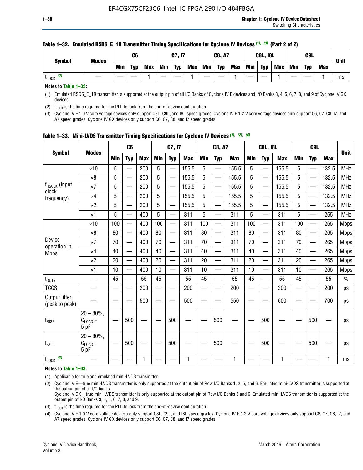| <b>Symbol</b>        | <b>Modes</b> |            | C6  |            |            | C7, I7     |            |     | <b>C8, A7</b> |            |     | <b>C8L, I8L</b> |     |     | C <sub>9</sub> L |     | <b>Unit</b> |
|----------------------|--------------|------------|-----|------------|------------|------------|------------|-----|---------------|------------|-----|-----------------|-----|-----|------------------|-----|-------------|
|                      |              | <b>Min</b> | Typ | <b>Max</b> | <b>Min</b> | <b>Typ</b> | <b>Max</b> | Min | <b>Typ</b>    | <b>Max</b> | Min | <b>Typ</b>      | Max | Min | <b>Typ</b>       | Max |             |
| (2)<br><b>L</b> LOCK |              |            |     |            |            |            |            |     |               |            |     |                 |     |     |                  |     | ms          |

#### **Table 1–32. Emulated RSDS\_E\_1R Transmitter Timing Specifications for Cyclone IV Devices** *(1), (3)* **(Part 2 of 2)**

**Notes to Table 1–32:**

(1) Emulated RSDS\_E\_1R transmitter is supported at the output pin of all I/O Banks of Cyclone IV E devices and I/O Banks 3, 4, 5, 6, 7, 8, and 9 of Cyclone IV GX devices.

(2)  $t_{\text{LOCK}}$  is the time required for the PLL to lock from the end-of-device configuration.

(3) Cyclone IV E 1.0 V core voltage devices only support C8L, C9L, and I8L speed grades. Cyclone IV E 1.2 V core voltage devices only support C6, C7, C8, I7, and A7 speed grades. Cyclone IV GX devices only support C6, C7, C8, and I7 speed grades.

|                                 |                                       |            | C <sub>6</sub>           |            |            | C7, I7                   |            |            | <b>C8, A7</b>            |            |                          | <b>C8L, I8L</b>          |            |            | C <sub>9</sub> L |            |             |
|---------------------------------|---------------------------------------|------------|--------------------------|------------|------------|--------------------------|------------|------------|--------------------------|------------|--------------------------|--------------------------|------------|------------|------------------|------------|-------------|
| <b>Symbol</b>                   | <b>Modes</b>                          | <b>Min</b> | <b>Typ</b>               | <b>Max</b> | <b>Min</b> | <b>Typ</b>               | <b>Max</b> | <b>Min</b> | <b>Typ</b>               | <b>Max</b> | <b>Min</b>               | <b>Typ</b>               | <b>Max</b> | <b>Min</b> | <b>Typ</b>       | <b>Max</b> | <b>Unit</b> |
|                                 | $\times$ 10                           | 5          | —<br>—                   | 200        | 5          |                          | 155.5      | 5          | ÷,                       | 155.5      | 5                        | $\overline{\phantom{0}}$ | 155.5      | 5          |                  | 132.5      | <b>MHz</b>  |
|                                 | $\times 8$                            | 5          | $\overline{\phantom{0}}$ | 200        | 5          | $\overline{\phantom{0}}$ | 155.5      | 5          | —                        | 155.5      | 5                        |                          | 155.5      | 5          |                  | 132.5      | <b>MHz</b>  |
| f <sub>HSCLK</sub> (input       | $\times 7$                            | 5          | $\overline{\phantom{0}}$ | 200        | 5          | —                        | 155.5      | 5          | $\overline{\phantom{0}}$ | 155.5      | 5                        |                          | 155.5      | 5          | —                | 132.5      | <b>MHz</b>  |
| clock<br>frequency)             | $\times$ 4                            | 5          | $\overline{\phantom{0}}$ | 200        | 5          | —                        | 155.5      | 5          | $\overline{\phantom{0}}$ | 155.5      | 5                        | $\overline{\phantom{0}}$ | 155.5      | 5          | —                | 132.5      | <b>MHz</b>  |
|                                 | $\times 2$                            | 5          | $\overline{\phantom{0}}$ | 200        | 5          | $\overline{\phantom{0}}$ | 155.5      | 5          | $\overline{\phantom{0}}$ | 155.5      | 5                        | $\overline{\phantom{0}}$ | 155.5      | 5          |                  | 132.5      | <b>MHz</b>  |
|                                 | $\times$ 1                            | 5          | $\overline{\phantom{0}}$ | 400        | 5          |                          | 311        | 5          | —                        | 311        | 5                        | $\overline{\phantom{0}}$ | 311        | 5          |                  | 265        | <b>MHz</b>  |
|                                 | $\times$ 10                           | 100        |                          | 400        | 100        | $\overline{\phantom{0}}$ | 311        | 100        | $\overline{\phantom{0}}$ | 311        | 100                      | $\overline{\phantom{0}}$ | 311        | 100        |                  | 265        | <b>Mbps</b> |
|                                 | $\times 8$                            | 80         | $\overline{\phantom{0}}$ | 400        | 80         | $\equiv$                 | 311        | 80         | $\overline{\phantom{0}}$ | 311        | 80                       | —                        | 311        | 80         |                  | 265        | <b>Mbps</b> |
| Device                          | $\times 7$                            | 70         | $\overline{\phantom{0}}$ | 400        | 70         | $\overline{\phantom{0}}$ | 311        | 70         | $\qquad \qquad$          | 311        | 70                       |                          | 311        | 70         |                  | 265        | <b>Mbps</b> |
| operation in<br><b>Mbps</b>     | $\times 4$                            | 40         | $\overline{\phantom{0}}$ | 400        | 40         |                          | 311        | 40         | er<br>Here               | 311        | 40                       | $\overline{\phantom{0}}$ | 311        | 40         |                  | 265        | <b>Mbps</b> |
|                                 | $\times 2$                            | 20         | $\overline{\phantom{0}}$ | 400        | 20         | —                        | 311        | 20         | $\overline{\phantom{0}}$ | 311        | 20                       | $\overline{\phantom{0}}$ | 311        | 20         |                  | 265        | <b>Mbps</b> |
|                                 | ×1                                    | 10         | $\overline{\phantom{0}}$ | 400        | 10         | —                        | 311        | 10         | $\overline{\phantom{0}}$ | 311        | 10                       | $\overline{\phantom{0}}$ | 311        | 10         |                  | 265        | <b>Mbps</b> |
| t <sub>DUTY</sub>               |                                       | 45         |                          | 55         | 45         |                          | 55         | 45         | $\overline{\phantom{0}}$ | 55         | 45                       | —                        | 55         | 45         |                  | 55         | $\%$        |
| <b>TCCS</b>                     |                                       |            |                          | 200        | —          |                          | 200        |            |                          | 200        | $\overline{\phantom{0}}$ |                          | 200        |            |                  | 200        | ps          |
| Output jitter<br>(peak to peak) |                                       |            |                          | 500        |            |                          | 500        |            |                          | 550        |                          |                          | 600        |            |                  | 700        | ps          |
| $t_{\text{RISE}}$               | $20 - 80\%$<br>$C_{LOAD} =$<br>5 pF   |            | 500                      |            |            | 500                      |            |            | 500                      |            |                          | 500                      |            |            | 500              |            | ps          |
| t <sub>FALL</sub>               | $20 - 80\%$ ,<br>$C_{LOAD} =$<br>5 pF |            | 500                      |            |            | 500                      |            |            | 500                      |            |                          | 500                      |            |            | 500              |            | ps          |
| $t_{\text{LOCK}}$ (3)           |                                       |            |                          | 1          |            |                          | 1          |            |                          | 1          |                          |                          | 1          |            |                  | 1          | ms          |

**Table 1–33. Mini-LVDS Transmitter Timing Specifications for Cyclone IV Devices** *(1)***,** *(2)***,** *(4)*

**Notes to Table 1–33:**

(1) Applicable for true and emulated mini-LVDS transmitter.

(2) Cyclone IV E—true mini-LVDS transmitter is only supported at the output pin of Row I/O Banks 1, 2, 5, and 6. Emulated mini-LVDS transmitter is supported at the output pin of all I/O banks.

Cyclone IV GX—true mini-LVDS transmitter is only supported at the output pin of Row I/O Banks 5 and 6. Emulated mini-LVDS transmitter is supported at the output pin of I/O Banks 3, 4, 5, 6, 7, 8, and 9.

(3)  $t_{\text{LOCK}}$  is the time required for the PLL to lock from the end-of-device configuration.

(4) Cyclone IV E 1.0 V core voltage devices only support C8L, C9L, and I8L speed grades. Cyclone IV E 1.2 V core voltage devices only support C6, C7, C8, I7, and A7 speed grades. Cyclone IV GX devices only support C6, C7, C8, and I7 speed grades.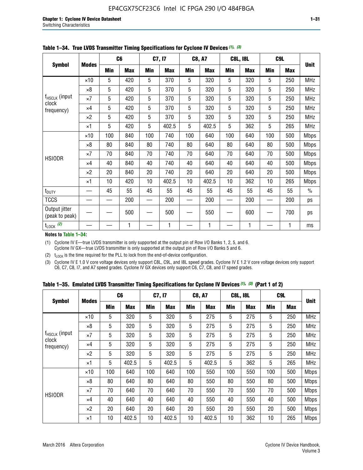|                                 |              |     | C <sub>6</sub> |     | C7, I7     |            | <b>C8, A7</b> |     | <b>C8L, I8L</b> | C <sub>9</sub> L |            |               |
|---------------------------------|--------------|-----|----------------|-----|------------|------------|---------------|-----|-----------------|------------------|------------|---------------|
| <b>Symbol</b>                   | <b>Modes</b> | Min | <b>Max</b>     | Min | <b>Max</b> | <b>Min</b> | <b>Max</b>    | Min | <b>Max</b>      | <b>Min</b>       | <b>Max</b> | <b>Unit</b>   |
|                                 | $\times$ 10  | 5   | 420            | 5   | 370        | 5          | 320           | 5   | 320             | 5                | 250        | <b>MHz</b>    |
|                                 | $\times 8$   | 5   | 420            | 5   | 370        | 5          | 320           | 5   | 320             | 5                | 250        | <b>MHz</b>    |
| f <sub>HSCLK</sub> (input       | $\times 7$   | 5   | 420            | 5   | 370        | 5          | 320           | 5   | 320             | 5                | 250        | <b>MHz</b>    |
| clock<br>frequency)             | $\times$ 4   | 5   | 420            | 5   | 370        | 5          | 320           | 5   | 320             | 5                | 250        | <b>MHz</b>    |
|                                 | $\times 2$   | 5   | 420            | 5   | 370        | 5          | 320           | 5   | 320             | 5                | 250        | <b>MHz</b>    |
|                                 | $\times$ 1   | 5   | 420            | 5   | 402.5      | 5          | 402.5         | 5   | 362             | 5                | 265        | <b>MHz</b>    |
|                                 | $\times$ 10  | 100 | 840            | 100 | 740        | 100        | 640           | 100 | 640             | 100              | 500        | <b>Mbps</b>   |
|                                 | $\times 8$   | 80  | 840            | 80  | 740        | 80         | 640           | 80  | 640             | 80               | 500        | <b>Mbps</b>   |
| <b>HSIODR</b>                   | $\times 7$   | 70  | 840            | 70  | 740        | 70         | 640           | 70  | 640             | 70               | 500        | <b>Mbps</b>   |
|                                 | $\times$ 4   | 40  | 840            | 40  | 740        | 40         | 640           | 40  | 640             | 40               | 500        | <b>Mbps</b>   |
|                                 | $\times 2$   | 20  | 840            | 20  | 740        | 20         | 640           | 20  | 640             | 20               | 500        | <b>Mbps</b>   |
|                                 | $\times$ 1   | 10  | 420            | 10  | 402.5      | 10         | 402.5         | 10  | 362             | 10               | 265        | <b>Mbps</b>   |
| t <sub>DUTY</sub>               |              | 45  | 55             | 45  | 55         | 45         | 55            | 45  | 55              | 45               | 55         | $\frac{0}{0}$ |
| <b>TCCS</b>                     |              |     | 200            |     | 200        |            | 200           |     | 200             |                  | 200        | ps            |
| Output jitter<br>(peak to peak) |              |     | 500            |     | 500        |            | 550           |     | 600             |                  | 700        | ps            |
| $t_{\text{LOCK}}$ (2)           |              |     | 1              |     | 1          |            | 1             |     | 1               |                  | 1          | ms            |

**Table 1–34. True LVDS Transmitter Timing Specifications for Cyclone IV Devices** *(1)***,** *(3)*

**Notes to Table 1–34:**

(1) Cyclone IV E—true LVDS transmitter is only supported at the output pin of Row I/O Banks 1, 2, 5, and 6. Cyclone IV GX—true LVDS transmitter is only supported at the output pin of Row I/O Banks 5 and 6.

(2)  $t_{\text{LOCK}}$  is the time required for the PLL to lock from the end-of-device configuration.

(3) Cyclone IV E 1.0 V core voltage devices only support C8L, C9L, and I8L speed grades. Cyclone IV E 1.2 V core voltage devices only support C6, C7, C8, I7, and A7 speed grades. Cyclone IV GX devices only support C6, C7, C8, and I7 speed grades.

|  |  |  |  | Table 1–35. Emulated LVDS Transmitter Timing Specifications for Cyclone IV Devices <sup>(1),</sup> <sup>(3)</sup> (Part 1 of 2) |  |  |
|--|--|--|--|---------------------------------------------------------------------------------------------------------------------------------|--|--|
|--|--|--|--|---------------------------------------------------------------------------------------------------------------------------------|--|--|

| <b>Symbol</b>               |              | C <sub>6</sub> |            | C7, I7     |            | <b>C8, A7</b> |            | <b>C8L, I8L</b> |            |            | C <sub>9</sub> L |             |
|-----------------------------|--------------|----------------|------------|------------|------------|---------------|------------|-----------------|------------|------------|------------------|-------------|
|                             | <b>Modes</b> | Min            | <b>Max</b> | <b>Min</b> | <b>Max</b> | <b>Min</b>    | <b>Max</b> | <b>Min</b>      | <b>Max</b> | <b>Min</b> | <b>Max</b>       | <b>Unit</b> |
|                             | $\times$ 10  | 5              | 320        | 5          | 320        | 5             | 275        | 5               | 275        | 5          | 250              | <b>MHz</b>  |
|                             | $\times 8$   | 5              | 320        | 5          | 320        | 5             | 275        | 5               | 275        | 5          | 250              | <b>MHz</b>  |
| $f_{HSCLK}$ (input<br>clock | $\times 7$   | 5              | 320        | 5          | 320        | 5             | 275        | 5               | 275        | 5          | 250              | <b>MHz</b>  |
| frequency)                  | $\times$ 4   | 5              | 320        | 5          | 320        | 5             | 275        | 5               | 275        | 5          | 250              | <b>MHz</b>  |
|                             | $\times 2$   | 5              | 320        | 5          | 320        | 5             | 275        | 5               | 275        | 5          | 250              | <b>MHz</b>  |
|                             | $\times$ 1   | 5              | 402.5      | 5          | 402.5      | 5             | 402.5      | 5               | 362        | 5          | 265              | <b>MHz</b>  |
|                             | $\times$ 10  | 100            | 640        | 100        | 640        | 100           | 550        | 100             | 550        | 100        | 500              | <b>Mbps</b> |
|                             | $\times 8$   | 80             | 640        | 80         | 640        | 80            | 550        | 80              | 550        | 80         | 500              | <b>Mbps</b> |
| <b>HSIODR</b>               | $\times 7$   | 70             | 640        | 70         | 640        | 70            | 550        | 70              | 550        | 70         | 500              | <b>Mbps</b> |
|                             | $\times$ 4   | 40             | 640        | 40         | 640        | 40            | 550        | 40              | 550        | 40         | 500              | <b>Mbps</b> |
|                             | $\times 2$   | 20             | 640        | 20         | 640        | 20            | 550        | 20              | 550        | 20         | 500              | <b>Mbps</b> |
|                             | $\times$ 1   | 10             | 402.5      | 10         | 402.5      | 10            | 402.5      | 10              | 362        | 10         | 265              | <b>Mbps</b> |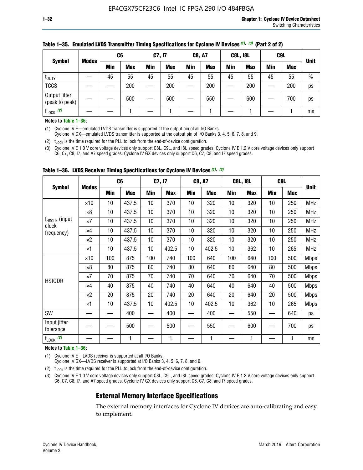| <b>Symbol</b>                   |              | C <sub>6</sub> |            | C7, I7 |            | <b>C8, A7</b> |            | <b>C8L, I8L</b> |            |     | C <sub>9</sub> L |               |
|---------------------------------|--------------|----------------|------------|--------|------------|---------------|------------|-----------------|------------|-----|------------------|---------------|
|                                 | <b>Modes</b> | Min            | <b>Max</b> | Min    | <b>Max</b> | <b>Min</b>    | <b>Max</b> | <b>Min</b>      | <b>Max</b> | Min | <b>Max</b>       | <b>Unit</b>   |
| t <sub>DUTY</sub>               |              | 45             | 55         | 45     | 55         | 45            | 55         | 45              | 55         | 45  | 55               | $\frac{0}{0}$ |
| <b>TCCS</b>                     |              |                | 200        |        | 200        |               | 200        |                 | 200        |     | 200              | ps            |
| Output jitter<br>(peak to peak) |              |                | 500        |        | 500        |               | 550        |                 | 600        | —   | 700              | ps            |
| $t_{\text{LOCK}}$ (2)           |              |                |            |        |            |               |            |                 |            |     |                  | ms            |

#### **Table 1–35. Emulated LVDS Transmitter Timing Specifications for Cyclone IV Devices** *(1)***,** *(3)* **(Part 2 of 2)**

#### **Notes to Table 1–35:**

(1) Cyclone IV E—emulated LVDS transmitter is supported at the output pin of all I/O Banks.

Cyclone IV GX—emulated LVDS transmitter is supported at the output pin of I/O Banks 3, 4, 5, 6, 7, 8, and 9.

(2)  $t_{\text{LOCK}}$  is the time required for the PLL to lock from the end-of-device configuration.

(3) Cyclone IV E 1.0 V core voltage devices only support C8L, C9L, and I8L speed grades. Cyclone IV E 1.2 V core voltage devices only support C6, C7, C8, I7, and A7 speed grades. Cyclone IV GX devices only support C6, C7, C8, and I7 speed grades.

|                                    |              |     | C <sub>6</sub> | C7, I7 |       | <b>C8, A7</b> |            | <b>C8L, I8L</b> |            | C <sub>9</sub> L |     |             |
|------------------------------------|--------------|-----|----------------|--------|-------|---------------|------------|-----------------|------------|------------------|-----|-------------|
| <b>Symbol</b>                      | <b>Modes</b> | Min | <b>Max</b>     | Min    | Max   | Min           | <b>Max</b> | Min             | <b>Max</b> | Min              | Max | <b>Unit</b> |
|                                    | $\times$ 10  | 10  | 437.5          | 10     | 370   | 10            | 320        | 10              | 320        | 10               | 250 | MHz         |
|                                    | ×8           | 10  | 437.5          | 10     | 370   | 10            | 320        | 10              | 320        | 10               | 250 | <b>MHz</b>  |
| f <sub>HSCLK</sub> (input<br>clock | ×7           | 10  | 437.5          | 10     | 370   | 10            | 320        | 10              | 320        | 10               | 250 | <b>MHz</b>  |
| frequency)                         | $\times 4$   | 10  | 437.5          | 10     | 370   | 10            | 320        | 10              | 320        | 10               | 250 | <b>MHz</b>  |
|                                    | $\times 2$   | 10  | 437.5          | 10     | 370   | 10            | 320        | 10              | 320        | 10               | 250 | <b>MHz</b>  |
|                                    | ×1           | 10  | 437.5          | 10     | 402.5 | 10            | 402.5      | 10              | 362        | 10               | 265 | <b>MHz</b>  |
|                                    | $\times$ 10  | 100 | 875            | 100    | 740   | 100           | 640        | 100             | 640        | 100              | 500 | <b>Mbps</b> |
|                                    | $\times 8$   | 80  | 875            | 80     | 740   | 80            | 640        | 80              | 640        | 80               | 500 | <b>Mbps</b> |
| <b>HSIODR</b>                      | ×7           | 70  | 875            | 70     | 740   | 70            | 640        | 70              | 640        | 70               | 500 | <b>Mbps</b> |
|                                    | $\times 4$   | 40  | 875            | 40     | 740   | 40            | 640        | 40              | 640        | 40               | 500 | <b>Mbps</b> |
|                                    | $\times 2$   | 20  | 875            | 20     | 740   | 20            | 640        | 20              | 640        | 20               | 500 | <b>Mbps</b> |
|                                    | ×1           | 10  | 437.5          | 10     | 402.5 | 10            | 402.5      | 10              | 362        | 10               | 265 | <b>Mbps</b> |
| SW                                 |              |     | 400            |        | 400   |               | 400        |                 | 550        |                  | 640 | ps          |
| Input jitter<br>tolerance          |              |     | 500            |        | 500   |               | 550        |                 | 600        |                  | 700 | ps          |
| $t_{\text{LOCK}}$ (2)              |              |     | 1              |        | 1     |               | 1          |                 | 1          |                  | 1   | ms          |

**Table 1–36. LVDS Receiver Timing Specifications for Cyclone IV Devices** *(1)***,** *(3)*

#### **Notes to Table 1–36:**

(1) Cyclone IV E—LVDS receiver is supported at all I/O Banks.

Cyclone IV GX—LVDS receiver is supported at I/O Banks 3, 4, 5, 6, 7, 8, and 9.

(2)  $t_{\text{LOCK}}$  is the time required for the PLL to lock from the end-of-device configuration.

(3) Cyclone IV E 1.0 V core voltage devices only support C8L, C9L, and I8L speed grades. Cyclone IV E 1.2 V core voltage devices only support C6, C7, C8, I7, and A7 speed grades. Cyclone IV GX devices only support C6, C7, C8, and I7 speed grades.

#### **External Memory Interface Specifications**

The external memory interfaces for Cyclone IV devices are auto-calibrating and easy to implement.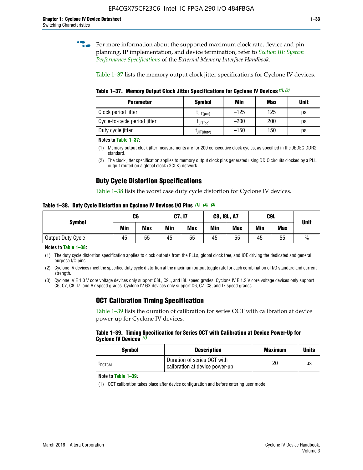**for more information about the supported maximum clock rate, device and pin** planning, IP implementation, and device termination, refer to *[Section III: System](http://www.altera.com/literature/hb/external-memory/emi_intro_specs.pdf)  [Performance Specifications](http://www.altera.com/literature/hb/external-memory/emi_intro_specs.pdf)* of the *External Memory Interface Handbook*.

Table 1–37 lists the memory output clock jitter specifications for Cyclone IV devices.

**Table 1–37. Memory Output Clock Jitter Specifications for Cyclone IV Devices** *(1)***,** *(2)*

| <b>Parameter</b>             | <b>Symbol</b>  | Min    | <b>Max</b> | <b>Unit</b> |
|------------------------------|----------------|--------|------------|-------------|
| Clock period jitter          | $L$ JIT(per)   | $-125$ | 125        | ps          |
| Cycle-to-cycle period jitter | $L$ JIT $(cc)$ | $-200$ | 200        | ps          |
| Duty cycle jitter            | LJIT(duty)     | $-150$ | 150        | рs          |

**Notes to Table 1–37:**

- (1) Memory output clock jitter measurements are for 200 consecutive clock cycles, as specified in the JEDEC DDR2 standard.
- (2) The clock jitter specification applies to memory output clock pins generated using DDIO circuits clocked by a PLL output routed on a global clock (GCLK) network.

### **Duty Cycle Distortion Specifications**

Table 1–38 lists the worst case duty cycle distortion for Cyclone IV devices.

**Table 1–38. Duty Cycle Distortion on Cyclone IV Devices I/O Pins** *(1)***,** *(2), (3)*

| <b>Symbol</b>     | C <sub>6</sub> |            | C7, I7     |            | <b>C8, I8L, A7</b> |            |            | C9L        | <b>Unit</b>   |
|-------------------|----------------|------------|------------|------------|--------------------|------------|------------|------------|---------------|
|                   | Min            | <b>Max</b> | <b>Min</b> | <b>Max</b> | Min                | <b>Max</b> | <b>Min</b> | <b>Max</b> |               |
| Output Duty Cycle | 45             | 55         | 45         | 55         | 45                 | 55         | 45         | 55         | $\frac{0}{0}$ |

**Notes to Table 1–38:**

(1) The duty cycle distortion specification applies to clock outputs from the PLLs, global clock tree, and IOE driving the dedicated and general purpose I/O pins.

(2) Cyclone IV devices meet the specified duty cycle distortion at the maximum output toggle rate for each combination of I/O standard and current strength.

(3) Cyclone IV E 1.0 V core voltage devices only support C8L, C9L, and I8L speed grades. Cyclone IV E 1.2 V core voltage devices only support C6, C7, C8, I7, and A7 speed grades. Cyclone IV GX devices only support C6, C7, C8, and I7 speed grades.

### **OCT Calibration Timing Specification**

Table 1–39 lists the duration of calibration for series OCT with calibration at device power-up for Cyclone IV devices.

#### **Table 1–39. Timing Specification for Series OCT with Calibration at Device Power-Up for Cyclone IV Devices** *(1)*

| Symbol  | <b>Description</b>                                            | <b>Maximum</b> | <b>Units</b> |
|---------|---------------------------------------------------------------|----------------|--------------|
| LOCTCAL | Duration of series OCT with<br>calibration at device power-up | 20             | μs           |

#### **Note to Table 1–39***:*

(1) OCT calibration takes place after device configuration and before entering user mode.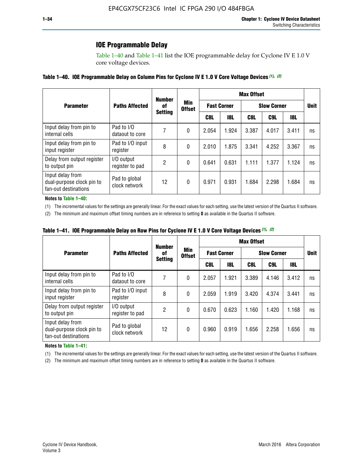### **IOE Programmable Delay**

Table 1–40 and Table 1–41 list the IOE programmable delay for Cyclone IV E 1.0 V core voltage devices.

#### **Table 1–40. IOE Programmable Delay on Column Pins for Cyclone IV E 1.0 V Core Voltage Devices** *(1)***,** *(2)*

|                                                                       |                                | <b>Number</b>  |                      | <b>Max Offset</b>  |            |       |                    |       |             |  |
|-----------------------------------------------------------------------|--------------------------------|----------------|----------------------|--------------------|------------|-------|--------------------|-------|-------------|--|
| <b>Parameter</b>                                                      | <b>Paths Affected</b>          | 0f             | Min<br><b>Offset</b> | <b>Fast Corner</b> |            |       | <b>Slow Corner</b> |       | <b>Unit</b> |  |
|                                                                       |                                | <b>Setting</b> |                      | C8L                | <b>18L</b> | C8L   | C9L                | 18L   |             |  |
| Input delay from pin to<br>internal cells                             | Pad to I/O<br>dataout to core  |                | 0                    | 2.054              | 1.924      | 3.387 | 4.017              | 3.411 | ns          |  |
| Input delay from pin to<br>input register                             | Pad to I/O input<br>register   | 8              | 0                    | 2.010              | 1.875      | 3.341 | 4.252              | 3.367 | ns          |  |
| Delay from output register<br>to output pin                           | I/O output<br>register to pad  | 2              | 0                    | 0.641              | 0.631      | 1.111 | 1.377              | 1.124 | ns          |  |
| Input delay from<br>dual-purpose clock pin to<br>fan-out destinations | Pad to global<br>clock network | 12             | 0                    | 0.971              | 0.931      | 1.684 | 2.298              | 1.684 | ns          |  |

#### **Notes to Table 1–40:**

(1) The incremental values for the settings are generally linear. For the exact values for each setting, use the latest version of the Quartus II software.

(2) The minimum and maximum offset timing numbers are in reference to setting **0** as available in the Quartus II software.

| Table 1–41. IOE Programmable Delay on Row Pins for Cyclone IV E 1.0 V Core Voltage Devices (1), (2) |  |  |
|-----------------------------------------------------------------------------------------------------|--|--|
|-----------------------------------------------------------------------------------------------------|--|--|

|                                                                       |                                | <b>Number</b> |                                        |       | <b>Max Offset</b>  |                    |             |       |    |  |  |
|-----------------------------------------------------------------------|--------------------------------|---------------|----------------------------------------|-------|--------------------|--------------------|-------------|-------|----|--|--|
| <b>Parameter</b>                                                      | <b>Paths Affected</b>          | 0f            | Min<br><b>Offset</b><br><b>Setting</b> |       | <b>Fast Corner</b> | <b>Slow Corner</b> | <b>Unit</b> |       |    |  |  |
|                                                                       |                                |               |                                        | C8L   | <b>18L</b>         | C8L                | C9L         | 18L   |    |  |  |
| Input delay from pin to<br>internal cells                             | Pad to I/O<br>dataout to core  | 7             | 0                                      | 2.057 | 1.921              | 3.389              | 4.146       | 3.412 | ns |  |  |
| Input delay from pin to<br>input register                             | Pad to I/O input<br>register   | 8             | 0                                      | 2.059 | 1.919              | 3.420              | 4.374       | 3.441 | ns |  |  |
| Delay from output register<br>to output pin                           | I/O output<br>register to pad  | 2             | 0                                      | 0.670 | 0.623              | 1.160              | 1.420       | 1.168 | ns |  |  |
| Input delay from<br>dual-purpose clock pin to<br>fan-out destinations | Pad to global<br>clock network | 12            | 0                                      | 0.960 | 0.919              | 1.656              | 2.258       | 1.656 | ns |  |  |

#### **Notes to Table 1–41:**

(1) The incremental values for the settings are generally linear. For the exact values for each setting, use the latest version of the Quartus II software.

(2) The minimum and maximum offset timing numbers are in reference to setting **0** as available in the Quartus II software.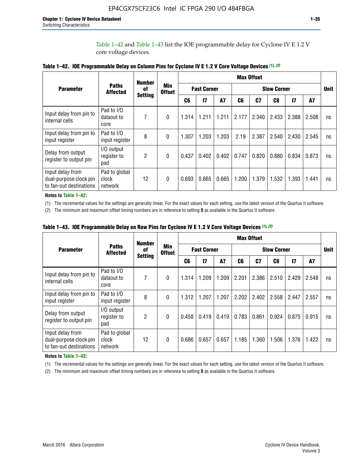Table 1–42 and Table 1–43 list the IOE programmable delay for Cyclone IV E 1.2 V core voltage devices.

|                                                                       |                                   | <b>Number</b>  |                             |                |                    |           |       | <b>Max Offset</b>  |       |                 |           |    |
|-----------------------------------------------------------------------|-----------------------------------|----------------|-----------------------------|----------------|--------------------|-----------|-------|--------------------|-------|-----------------|-----------|----|
| <b>Parameter</b>                                                      | <b>Paths</b><br><b>Affected</b>   | 0f             | <b>Min</b><br><b>Offset</b> |                | <b>Fast Corner</b> |           |       | <b>Slow Corner</b> |       |                 |           |    |
|                                                                       |                                   | <b>Setting</b> |                             | C <sub>6</sub> | $\overline{17}$    | <b>A7</b> | C6    | C7                 | C8    | $\overline{17}$ | <b>A7</b> |    |
| Input delay from pin to<br>internal cells                             | Pad to I/O<br>dataout to<br>core  | 7              | $\Omega$                    | 1.314          | 1.211              | 1.211     | 2.177 | 2.340              | 2.433 | 2.388           | 2.508     | ns |
| Input delay from pin to<br>input register                             | Pad to I/O<br>input register      | 8              | $\Omega$                    | 1.307          | 1.203              | 1.203     | 2.19  | 2.387              | 2.540 | 2.430           | 2.545     | ns |
| Delay from output<br>register to output pin                           | I/O output<br>register to<br>pad  | 2              | $\Omega$                    | 0.437          | 0.402              | 0.402     | 0.747 | 0.820              | 0.880 | 0.834           | 0.873     | ns |
| Input delay from<br>dual-purpose clock pin<br>to fan-out destinations | Pad to global<br>clock<br>network | 12             | 0                           | 0.693          | 0.665              | 0.665     | 1.200 | 1.379              | 1.532 | 1.393           | 1.441     | ns |

**Table 1–42. IOE Programmable Delay on Column Pins for Cyclone IV E 1.2 V Core Voltage Devices** *(1)***,** *(2)*

**Notes to Table 1–42:**

(1) The incremental values for the settings are generally linear. For the exact values for each setting, use the latest version of the Quartus II software.

(2) The minimum and maximum offset timing numbers are in reference to setting **0** as available in the Quartus II software.

|                                                                       |                                   | <b>Number</b>  |                      |       |                    |       |       | <b>Max Offset</b>  |       |              |       |    |
|-----------------------------------------------------------------------|-----------------------------------|----------------|----------------------|-------|--------------------|-------|-------|--------------------|-------|--------------|-------|----|
| <b>Parameter</b>                                                      | <b>Paths</b><br><b>Affected</b>   | 0f             | Min<br><b>Offset</b> |       | <b>Fast Corner</b> |       |       | <b>Slow Corner</b> |       |              |       |    |
|                                                                       |                                   | <b>Setting</b> |                      | C6    | $\overline{17}$    | A7    | C6    | C <sub>7</sub>     | C8    | $\mathbf{I}$ | A7    |    |
| Input delay from pin to<br>internal cells                             | Pad to I/O<br>dataout to<br>core  | 7              | 0                    | 1.314 | 1.209              | 1.209 | 2.201 | 2.386              | 2.510 | 2.429        | 2.548 | ns |
| Input delay from pin to<br>input register                             | Pad to I/O<br>input register      | 8              | $\theta$             | 1.312 | 1.207              | 1.207 | 2.202 | 2.402              | 2.558 | 2.447        | 2.557 | ns |
| Delay from output<br>register to output pin                           | I/O output<br>register to<br>pad  | 2              | $\Omega$             | 0.458 | 0.419              | 0.419 | 0.783 | 0.861              | 0.924 | 0.875        | 0.915 | ns |
| Input delay from<br>dual-purpose clock pin<br>to fan-out destinations | Pad to global<br>clock<br>network | 12             | 0                    | 0.686 | 0.657              | 0.657 | 1.185 | 1.360              | 1.506 | 1.376        | 1.422 | ns |

**Table 1–43. IOE Programmable Delay on Row Pins for Cyclone IV E 1.2 V Core Voltage Devices** *(1)***,** *(2)*

#### **Notes to Table 1–43:**

(1) The incremental values for the settings are generally linear. For the exact values for each setting, use the latest version of the Quartus II software.

(2) The minimum and maximum offset timing numbers are in reference to setting **0** as available in the Quartus II software.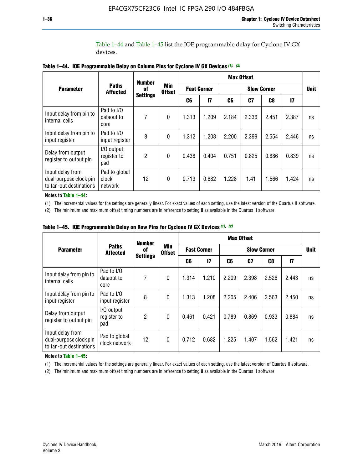Table 1–44 and Table 1–45 list the IOE programmable delay for Cyclone IV GX devices.

|                                                                       |                                   | <b>Number</b>   |                             | <b>Max Offset</b> |                    |       |                    |       |       |             |  |
|-----------------------------------------------------------------------|-----------------------------------|-----------------|-----------------------------|-------------------|--------------------|-------|--------------------|-------|-------|-------------|--|
| <b>Parameter</b>                                                      | <b>Paths</b><br><b>Affected</b>   | 0f              | <b>Min</b><br><b>Offset</b> |                   | <b>Fast Corner</b> |       | <b>Slow Corner</b> |       |       | <b>Unit</b> |  |
|                                                                       |                                   | <b>Settings</b> |                             | C6                | $\mathsf{I}7$      | C6    | C7                 | C8    | 17    |             |  |
| Input delay from pin to<br>internal cells                             | Pad to I/O<br>dataout to<br>core  | 7               | $\boldsymbol{0}$            | 1.313             | 1.209              | 2.184 | 2.336              | 2.451 | 2.387 | ns          |  |
| Input delay from pin to<br>input register                             | Pad to I/O<br>input register      | 8               | $\mathbf{0}$                | 1.312             | 1.208              | 2.200 | 2.399              | 2.554 | 2.446 | ns          |  |
| Delay from output<br>register to output pin                           | I/O output<br>register to<br>pad  | $\mathfrak{p}$  | $\mathbf{0}$                | 0.438             | 0.404              | 0.751 | 0.825              | 0.886 | 0.839 | ns          |  |
| Input delay from<br>dual-purpose clock pin<br>to fan-out destinations | Pad to global<br>clock<br>network | 12              | $\mathbf{0}$                | 0.713             | 0.682              | 1.228 | 1.41               | 1.566 | 1.424 | ns          |  |

**Table 1–44. IOE Programmable Delay on Column Pins for Cyclone IV GX Devices** *(1)***,** *(2)*

**Notes to Table 1–44:**

(1) The incremental values for the settings are generally linear. For exact values of each setting, use the latest version of the Quartus II software.

(2) The minimum and maximum offset timing numbers are in reference to setting **0** as available in the Quartus II software.

|                                                                       |                                  | <b>Number</b>   |                      |       |                    |                    | <b>Max Offset</b> |       |               |             |
|-----------------------------------------------------------------------|----------------------------------|-----------------|----------------------|-------|--------------------|--------------------|-------------------|-------|---------------|-------------|
| <b>Parameter</b>                                                      | <b>Paths</b><br><b>Affected</b>  | 0f              | Min<br><b>Offset</b> |       | <b>Fast Corner</b> | <b>Slow Corner</b> |                   |       |               | <b>Unit</b> |
|                                                                       |                                  | <b>Settings</b> |                      | C6    | 17                 | C6                 | C7                | C8    | $\mathsf{I}7$ |             |
| Input delay from pin to<br>internal cells                             | Pad to I/O<br>dataout to<br>core | 7               | $\mathbf{0}$         | 1.314 | 1.210              | 2.209              | 2.398             | 2.526 | 2.443         | ns          |
| Input delay from pin to<br>input register                             | Pad to I/O<br>input register     | 8               | $\mathbf{0}$         | 1.313 | 1.208              | 2.205              | 2.406             | 2.563 | 2.450         | ns          |
| Delay from output<br>register to output pin                           | I/O output<br>register to<br>pad | $\overline{2}$  | $\mathbf{0}$         | 0.461 | 0.421              | 0.789              | 0.869             | 0.933 | 0.884         | ns          |
| Input delay from<br>dual-purpose clock pin<br>to fan-out destinations | Pad to global<br>clock network   | 12              | $\mathbf{0}$         | 0.712 | 0.682              | 1.225              | 1.407             | 1.562 | 1.421         | ns          |

**Table 1–45. IOE Programmable Delay on Row Pins for Cyclone IV GX Devices** *(1)***,** *(2)*

#### **Notes to Table 1–45:**

(1) The incremental values for the settings are generally linear. For exact values of each setting, use the latest version of Quartus II software.

(2) The minimum and maximum offset timing numbers are in reference to setting **0** as available in the Quartus II software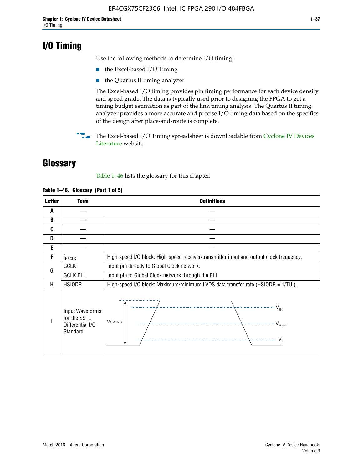# **I/O Timing**

Use the following methods to determine I/O timing:

- the Excel-based I/O Timing
- the Quartus II timing analyzer

The Excel-based I/O timing provides pin timing performance for each device density and speed grade. The data is typically used prior to designing the FPGA to get a timing budget estimation as part of the link timing analysis. The Quartus II timing analyzer provides a more accurate and precise I/O timing data based on the specifics of the design after place-and-route is complete.

**For The Excel-based I/O Timing spreadsheet is downloadable from Cyclone IV Devices** [Literature](http://www.altera.com/literature/lit-cyclone-iv.jsp) website.

# **Glossary**

Table 1–46 lists the glossary for this chapter.

| <b>Letter</b> | <b>Term</b>                                                     | <b>Definitions</b>                                                                                                                               |  |  |  |  |  |  |  |
|---------------|-----------------------------------------------------------------|--------------------------------------------------------------------------------------------------------------------------------------------------|--|--|--|--|--|--|--|
| A             |                                                                 |                                                                                                                                                  |  |  |  |  |  |  |  |
| B             |                                                                 |                                                                                                                                                  |  |  |  |  |  |  |  |
| C             |                                                                 |                                                                                                                                                  |  |  |  |  |  |  |  |
| D             |                                                                 |                                                                                                                                                  |  |  |  |  |  |  |  |
| E             |                                                                 |                                                                                                                                                  |  |  |  |  |  |  |  |
| F             | $f_{\sf HSCLK}$                                                 | High-speed I/O block: High-speed receiver/transmitter input and output clock frequency.                                                          |  |  |  |  |  |  |  |
| G             | <b>GCLK</b>                                                     | Input pin directly to Global Clock network.                                                                                                      |  |  |  |  |  |  |  |
|               | <b>GCLK PLL</b>                                                 | Input pin to Global Clock network through the PLL.                                                                                               |  |  |  |  |  |  |  |
| н             | <b>HSIODR</b>                                                   | High-speed I/O block: Maximum/minimum LVDS data transfer rate (HSIODR = 1/TUI).                                                                  |  |  |  |  |  |  |  |
|               | Input Waveforms<br>for the SSTL<br>Differential I/O<br>Standard | $\frac{1}{\sqrt{1+\frac{1}{2}}}\left\{ \frac{1}{\sqrt{1+\frac{1}{2}}}\right\}$<br><b>V</b> swing<br>$\cdots$ $V_{REF}$<br>\<br>$\sim V_{\rm IL}$ |  |  |  |  |  |  |  |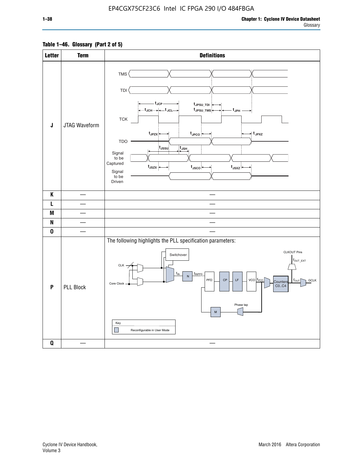### **Table 1–46. Glossary (Part 2 of 5)**

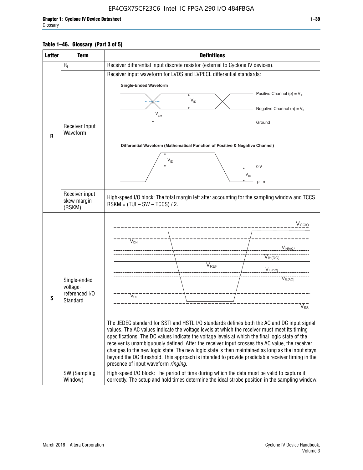#### **Table 1–46. Glossary (Part 3 of 5)**

| <b>Letter</b> | <b>Term</b>              | <b>Definitions</b>                                                                                                                                                                              |
|---------------|--------------------------|-------------------------------------------------------------------------------------------------------------------------------------------------------------------------------------------------|
|               | $R_L$                    | Receiver differential input discrete resistor (external to Cyclone IV devices).                                                                                                                 |
|               |                          | Receiver input waveform for LVDS and LVPECL differential standards:                                                                                                                             |
|               |                          | <b>Single-Ended Waveform</b>                                                                                                                                                                    |
|               |                          | Positive Channel (p) = $V_{\text{H}}$                                                                                                                                                           |
|               |                          | $V_{ID}$                                                                                                                                                                                        |
|               |                          | Negative Channel (n) = $V_{\parallel}$<br>$V_{CM}$                                                                                                                                              |
|               | Receiver Input           | Ground                                                                                                                                                                                          |
| R             | Waveform                 |                                                                                                                                                                                                 |
|               |                          | Differential Waveform (Mathematical Function of Positive & Negative Channel)                                                                                                                    |
|               |                          |                                                                                                                                                                                                 |
|               |                          | $V_{ID}$                                                                                                                                                                                        |
|               |                          | 0V<br>$\mathsf{V}_{\mathsf{ID}}$                                                                                                                                                                |
|               |                          | $p - n$                                                                                                                                                                                         |
|               | Receiver input           |                                                                                                                                                                                                 |
|               | skew margin              | High-speed I/O block: The total margin left after accounting for the sampling window and TCCS.<br>$RSKM = (TUI - SW - TCCS) / 2.$                                                               |
|               | (RSKM)                   |                                                                                                                                                                                                 |
|               |                          | $V_{CCIO}$                                                                                                                                                                                      |
|               |                          |                                                                                                                                                                                                 |
|               |                          | $V_{\text{OH}}$                                                                                                                                                                                 |
|               |                          | V <sub>IH(AC)</sub>                                                                                                                                                                             |
|               |                          | $V_{IH(DC)}$<br>$V_{REF}$                                                                                                                                                                       |
|               |                          | $V_{IL(DC)}$                                                                                                                                                                                    |
|               | Single-ended<br>voltage- | VIL(AC)                                                                                                                                                                                         |
|               | referenced I/O           | $V_{OL}$                                                                                                                                                                                        |
| S             | Standard                 | $\overline{\mathsf{V}}_\mathsf{SS}^-$                                                                                                                                                           |
|               |                          |                                                                                                                                                                                                 |
|               |                          | The JEDEC standard for SSTI and HSTL I/O standards defines both the AC and DC input signal                                                                                                      |
|               |                          | values. The AC values indicate the voltage levels at which the receiver must meet its timing<br>specifications. The DC values indicate the voltage levels at which the final logic state of the |
|               |                          | receiver is unambiguously defined. After the receiver input crosses the AC value, the receiver                                                                                                  |
|               |                          | changes to the new logic state. The new logic state is then maintained as long as the input stays                                                                                               |
|               |                          | beyond the DC threshold. This approach is intended to provide predictable receiver timing in the<br>presence of input waveform ringing.                                                         |
|               | SW (Sampling             | High-speed I/O block: The period of time during which the data must be valid to capture it                                                                                                      |
|               | Window)                  | correctly. The setup and hold times determine the ideal strobe position in the sampling window.                                                                                                 |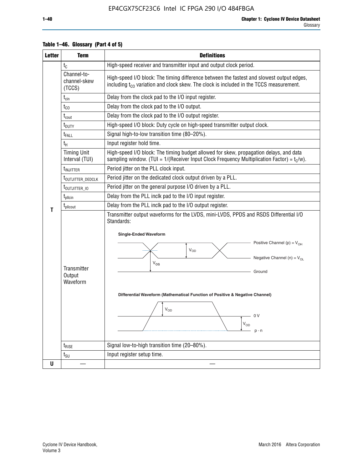| <b>Letter</b> | <b>Term</b>                           | <b>Definitions</b>                                                                                                                                                                                                                                                                                                                                                                        |  |  |  |  |  |  |  |  |
|---------------|---------------------------------------|-------------------------------------------------------------------------------------------------------------------------------------------------------------------------------------------------------------------------------------------------------------------------------------------------------------------------------------------------------------------------------------------|--|--|--|--|--|--|--|--|
|               | $t_{C}$                               | High-speed receiver and transmitter input and output clock period.                                                                                                                                                                                                                                                                                                                        |  |  |  |  |  |  |  |  |
|               | Channel-to-<br>channel-skew<br>(TCCS) | High-speed I/O block: The timing difference between the fastest and slowest output edges,<br>including $t_{C0}$ variation and clock skew. The clock is included in the TCCS measurement.                                                                                                                                                                                                  |  |  |  |  |  |  |  |  |
|               | $t_{\text{cin}}$                      | Delay from the clock pad to the I/O input register.                                                                                                                                                                                                                                                                                                                                       |  |  |  |  |  |  |  |  |
|               | $t_{CO}$                              | Delay from the clock pad to the I/O output.                                                                                                                                                                                                                                                                                                                                               |  |  |  |  |  |  |  |  |
|               | $t_{\text{cout}}$                     | Delay from the clock pad to the I/O output register.                                                                                                                                                                                                                                                                                                                                      |  |  |  |  |  |  |  |  |
|               | t <sub>DUTY</sub>                     | High-speed I/O block: Duty cycle on high-speed transmitter output clock.                                                                                                                                                                                                                                                                                                                  |  |  |  |  |  |  |  |  |
|               | $t_{FALL}$                            | Signal high-to-low transition time (80-20%).                                                                                                                                                                                                                                                                                                                                              |  |  |  |  |  |  |  |  |
|               | $t_H$                                 | Input register hold time.                                                                                                                                                                                                                                                                                                                                                                 |  |  |  |  |  |  |  |  |
|               | <b>Timing Unit</b><br>Interval (TUI)  | High-speed I/O block: The timing budget allowed for skew, propagation delays, and data<br>sampling window. (TUI = $1/($ Receiver Input Clock Frequency Multiplication Factor) = $tC/w$ ).                                                                                                                                                                                                 |  |  |  |  |  |  |  |  |
|               | t <sub>INJITTER</sub>                 | Period jitter on the PLL clock input.                                                                                                                                                                                                                                                                                                                                                     |  |  |  |  |  |  |  |  |
|               | t <sub>outjitter_dedclk</sub>         | Period jitter on the dedicated clock output driven by a PLL.                                                                                                                                                                                                                                                                                                                              |  |  |  |  |  |  |  |  |
|               | t <sub>outjitter_io</sub>             | Period jitter on the general purpose I/O driven by a PLL.                                                                                                                                                                                                                                                                                                                                 |  |  |  |  |  |  |  |  |
|               | t <sub>pllcin</sub>                   | Delay from the PLL inclk pad to the I/O input register.                                                                                                                                                                                                                                                                                                                                   |  |  |  |  |  |  |  |  |
| Τ             | t <sub>plicout</sub>                  | Delay from the PLL inclk pad to the I/O output register.                                                                                                                                                                                                                                                                                                                                  |  |  |  |  |  |  |  |  |
|               | Transmitter<br>Output<br>Waveform     | Transmitter output waveforms for the LVDS, mini-LVDS, PPDS and RSDS Differential I/O<br>Standards:<br><b>Single-Ended Waveform</b><br>Positive Channel (p) = $V_{OH}$<br>VOD<br>Negative Channel (n) = $V_{OL}$<br>$V_{OS}$<br>Ground<br>Differential Waveform (Mathematical Function of Positive & Negative Channel)<br>$V_{OD}$<br>$\bigcap V$<br>$\mathsf{V}_{\mathsf{OD}}$<br>$p - n$ |  |  |  |  |  |  |  |  |
|               | $t_{\text{RISE}}$                     | Signal low-to-high transition time (20-80%).                                                                                                                                                                                                                                                                                                                                              |  |  |  |  |  |  |  |  |
|               | $t_{\text{SU}}$                       | Input register setup time.                                                                                                                                                                                                                                                                                                                                                                |  |  |  |  |  |  |  |  |
| U             |                                       |                                                                                                                                                                                                                                                                                                                                                                                           |  |  |  |  |  |  |  |  |

#### **Table 1–46. Glossary (Part 4 of 5)**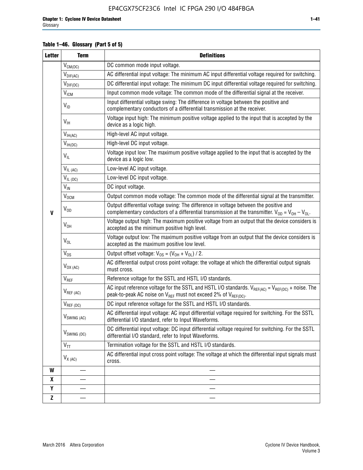#### **Table 1–46. Glossary (Part 5 of 5)**

| <b>Letter</b> | <b>Term</b>                             | <b>Definitions</b>                                                                                                                                                                                |
|---------------|-----------------------------------------|---------------------------------------------------------------------------------------------------------------------------------------------------------------------------------------------------|
|               | $V_{CM(DC)}$                            | DC common mode input voltage.                                                                                                                                                                     |
|               | $V_{DIF(AC)}$                           | AC differential input voltage: The minimum AC input differential voltage required for switching.                                                                                                  |
|               | $V_{DIF(DC)}$                           | DC differential input voltage: The minimum DC input differential voltage required for switching.                                                                                                  |
|               | V <sub>ICM</sub>                        | Input common mode voltage: The common mode of the differential signal at the receiver.                                                                                                            |
|               | $V_{ID}$                                | Input differential voltage swing: The difference in voltage between the positive and<br>complementary conductors of a differential transmission at the receiver.                                  |
|               | $V_{\text{IH}}$                         | Voltage input high: The minimum positive voltage applied to the input that is accepted by the<br>device as a logic high.                                                                          |
|               | $\mathsf{V}_{\mathsf{IH}(\mathsf{AC})}$ | High-level AC input voltage.                                                                                                                                                                      |
|               | $V_{IH(DC)}$                            | High-level DC input voltage.                                                                                                                                                                      |
|               | $V_{IL}$                                | Voltage input low: The maximum positive voltage applied to the input that is accepted by the<br>device as a logic low.                                                                            |
|               | $V_{IL(AC)}$                            | Low-level AC input voltage.                                                                                                                                                                       |
|               | $V_{IL(DC)}$                            | Low-level DC input voltage.                                                                                                                                                                       |
|               | $V_{\text{IN}}$                         | DC input voltage.                                                                                                                                                                                 |
|               | $\rm V_{\rm OCM}$                       | Output common mode voltage: The common mode of the differential signal at the transmitter.                                                                                                        |
| $\mathbf{V}$  | $V_{OD}$                                | Output differential voltage swing: The difference in voltage between the positive and<br>complementary conductors of a differential transmission at the transmitter. $V_{OD} = V_{OH} - V_{OL}$ . |
|               | $V_{OH}$                                | Voltage output high: The maximum positive voltage from an output that the device considers is<br>accepted as the minimum positive high level.                                                     |
|               | $V_{OL}$                                | Voltage output low: The maximum positive voltage from an output that the device considers is<br>accepted as the maximum positive low level.                                                       |
|               | $V_{OS}$                                | Output offset voltage: $V_{OS} = (V_{OH} + V_{OL}) / 2$ .                                                                                                                                         |
|               | $V_{OX (AC)}$                           | AC differential output cross point voltage: the voltage at which the differential output signals<br>must cross.                                                                                   |
|               | V <sub>REF</sub>                        | Reference voltage for the SSTL and HSTL I/O standards.                                                                                                                                            |
|               | $V_{REF\,(AC)}$                         | AC input reference voltage for the SSTL and HSTL I/O standards. $V_{REF(AC)} = V_{REF(DC)} +$ noise. The<br>peak-to-peak AC noise on $V_{REF}$ must not exceed 2% of $V_{REF(DC)}$ .              |
|               | $V_{REF(DC)}$                           | DC input reference voltage for the SSTL and HSTL I/O standards.                                                                                                                                   |
|               | $V_{\text{SWING (AC)}}$                 | AC differential input voltage: AC input differential voltage required for switching. For the SSTL<br>differential I/O standard, refer to Input Waveforms.                                         |
|               | $V_{SWING (DC)}$                        | DC differential input voltage: DC input differential voltage required for switching. For the SSTL<br>differential I/O standard, refer to Input Waveforms.                                         |
|               | $\text{V}_{\text{TT}}$                  | Termination voltage for the SSTL and HSTL I/O standards.                                                                                                                                          |
|               | $V_{X(AC)}$                             | AC differential input cross point voltage: The voltage at which the differential input signals must<br>cross.                                                                                     |
| W             |                                         |                                                                                                                                                                                                   |
| X             |                                         |                                                                                                                                                                                                   |
| Y             |                                         |                                                                                                                                                                                                   |
| Z             |                                         |                                                                                                                                                                                                   |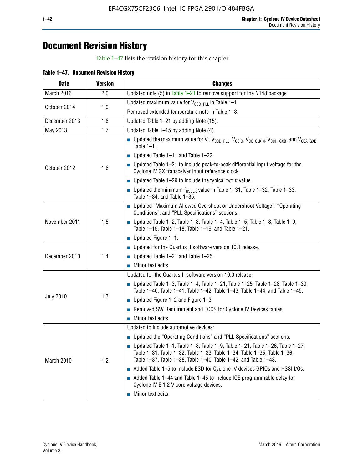# **Document Revision History**

Table 1–47 lists the revision history for this chapter.

| <b>Date</b>      | <b>Version</b> | <b>Changes</b>                                                                                                                                                                                                                            |
|------------------|----------------|-------------------------------------------------------------------------------------------------------------------------------------------------------------------------------------------------------------------------------------------|
| March 2016       | 2.0            | Updated note (5) in Table $1-21$ to remove support for the N148 package.                                                                                                                                                                  |
| October 2014     | 1.9            | Updated maximum value for $V_{CCD, PL}$ in Table 1-1.                                                                                                                                                                                     |
|                  |                | Removed extended temperature note in Table 1-3.                                                                                                                                                                                           |
| December 2013    | 1.8            | Updated Table 1-21 by adding Note (15).                                                                                                                                                                                                   |
| May 2013         | 1.7            | Updated Table 1-15 by adding Note (4).                                                                                                                                                                                                    |
| October 2012     | 1.6            | Dpdated the maximum value for $V_1$ , $V_{CCD\_PLL}$ , $V_{CC10}$ , $V_{CC\_CLKIN}$ , $V_{CCH\_GXB}$ , and $V_{CCA\_GXB}$<br>Table $1-1$ .                                                                                                |
|                  |                | $\blacksquare$ Updated Table 1-11 and Table 1-22.                                                                                                                                                                                         |
|                  |                | $\blacksquare$ Updated Table 1-21 to include peak-to-peak differential input voltage for the<br>Cyclone IV GX transceiver input reference clock.                                                                                          |
|                  |                | $\blacksquare$ Updated Table 1-29 to include the typical DCLK value.                                                                                                                                                                      |
|                  |                | <b>Updated the minimum f<sub>HSCLK</sub></b> value in Table 1-31, Table 1-32, Table 1-33,<br>Table 1-34, and Table 1-35.                                                                                                                  |
| November 2011    | 1.5            | • Updated "Maximum Allowed Overshoot or Undershoot Voltage", "Operating<br>Conditions", and "PLL Specifications" sections.                                                                                                                |
|                  |                | Updated Table 1-2, Table 1-3, Table 1-4, Table 1-5, Table 1-8, Table 1-9,<br>Table 1-15, Table 1-18, Table 1-19, and Table 1-21.                                                                                                          |
|                  |                | ■ Updated Figure $1-1$ .                                                                                                                                                                                                                  |
| December 2010    | 1.4            | • Updated for the Quartus II software version 10.1 release.                                                                                                                                                                               |
|                  |                | $\blacksquare$ Updated Table 1-21 and Table 1-25.                                                                                                                                                                                         |
|                  |                | $\blacksquare$ Minor text edits.                                                                                                                                                                                                          |
|                  | 1.3            | Updated for the Quartus II software version 10.0 release:                                                                                                                                                                                 |
| <b>July 2010</b> |                | Updated Table 1-3, Table 1-4, Table 1-21, Table 1-25, Table 1-28, Table 1-30,<br>Table 1-40, Table 1-41, Table 1-42, Table 1-43, Table 1-44, and Table 1-45.                                                                              |
|                  |                | ■ Updated Figure $1-2$ and Figure $1-3$ .                                                                                                                                                                                                 |
|                  |                | Removed SW Requirement and TCCS for Cyclone IV Devices tables.                                                                                                                                                                            |
|                  |                | $\blacksquare$ Minor text edits.                                                                                                                                                                                                          |
|                  | 1.2            | Updated to include automotive devices:                                                                                                                                                                                                    |
| March 2010       |                | • Updated the "Operating Conditions" and "PLL Specifications" sections.                                                                                                                                                                   |
|                  |                | $\blacksquare$ Updated Table 1-1, Table 1-8, Table 1-9, Table 1-21, Table 1-26, Table 1-27,<br>Table 1-31, Table 1-32, Table 1-33, Table 1-34, Table 1-35, Table 1-36,<br>Table 1-37, Table 1-38, Table 1-40, Table 1-42, and Table 1-43. |
|                  |                | Added Table 1-5 to include ESD for Cyclone IV devices GPIOs and HSSI I/Os.                                                                                                                                                                |
|                  |                | Added Table 1-44 and Table 1-45 to include IOE programmable delay for<br>Cyclone IV E 1.2 V core voltage devices.                                                                                                                         |
|                  |                | Minor text edits.                                                                                                                                                                                                                         |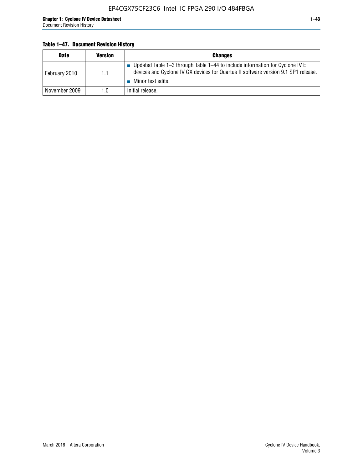#### **Table 1–47. Document Revision History**

| <b>Date</b>   | <b>Version</b> | <b>Changes</b>                                                                                                                                                                          |
|---------------|----------------|-----------------------------------------------------------------------------------------------------------------------------------------------------------------------------------------|
| February 2010 | 1.1            | Updated Table 1-3 through Table 1-44 to include information for Cyclone IV E<br>devices and Cyclone IV GX devices for Quartus II software version 9.1 SP1 release.<br>Minor text edits. |
| November 2009 | 1.0            | Initial release.                                                                                                                                                                        |